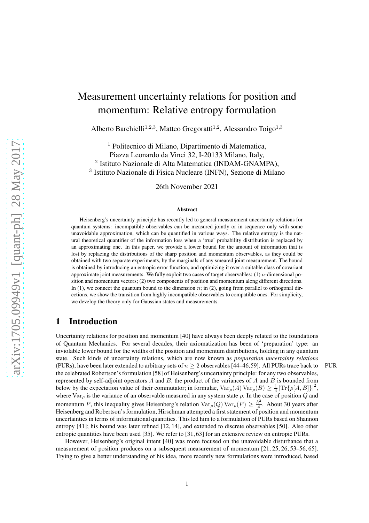# Measurement uncertainty relations for position and momentum: Relative entropy formulation

Alberto Barchielli<sup>1,2,3</sup>, Matteo Gregoratti<sup>1,2</sup>, Alessandro Toigo<sup>1,3</sup>

 Politecnico di Milano, Dipartimento di Matematica, Piazza Leonardo da Vinci 32, I-20133 Milano, Italy, Istituto Nazionale di Alta Matematica (INDAM-GNAMPA), Istituto Nazionale di Fisica Nucleare (INFN), Sezione di Milano

26th November 2021

#### Abstract

Heisenberg's uncertainty principle has recently led to general measurement uncertainty relations for quantum systems: incompatible observables can be measured jointly or in sequence only with some unavoidable approximation, which can be quantified in various ways. The relative entropy is the natural theoretical quantifier of the information loss when a 'true' probability distribution is replaced by an approximating one. In this paper, we provide a lower bound for the amount of information that is lost by replacing the distributions of the sharp position and momentum observables, as they could be obtained with two separate experiments, by the marginals of any smeared joint measurement. The bound is obtained by introducing an entropic error function, and optimizing it over a suitable class of covariant approximate joint measurements. We fully exploit two cases of target observables: (1)  $n$ -dimensional position and momentum vectors; (2) two components of position and momentum along different directions. In  $(1)$ , we connect the quantum bound to the dimension n; in  $(2)$ , going from parallel to orthogonal directions, we show the transition from highly incompatible observables to compatible ones. For simplicity, we develop the theory only for Gaussian states and measurements.

## 1 Introduction

Uncertainty relations for position and momentum [40] have always been deeply related to the foundations of Quantum Mechanics. For several decades, their axiomatization has been of 'preparation' type: an inviolable lower bound for the widths of the position and momentum distributions, holding in any quantum state. Such kinds of uncertainty relations, which are now known as *preparation uncertainty relations* (PURs), have been later extended to arbitrary sets of  $n > 2$  observables [44–46,59]. All PURs trace back to PUR the celebrated Robertson's formulation [58] of Heisenberg's uncertainty principle: for any two observables, represented by self-adjoint operators  $A$  and  $B$ , the product of the variances of  $A$  and  $B$  is bounded from below by the expectation value of their commutator; in formulae,  $\text{Var}_{\rho}(A) \text{Var}_{\rho}(B) \geq \frac{1}{4} |\text{Tr}\{\rho[A, B]\}|^2$ , where  $\text{Var}_{\rho}$  is the variance of an observable measured in any system state  $\rho$ . In the case of position Q and momentum P, this inequality gives Heisenberg's relation  $\text{Var}_{\rho}(Q) \text{Var}_{\rho}(P) \geq \frac{\hbar^2}{4}$  $\frac{h^2}{4}$ . About 30 years after Heisenberg and Robertson's formulation, Hirschman attempted a first statement of position and momentum uncertainties in terms of informational quantities. This led him to a formulation of PURs based on Shannon entropy [41]; his bound was later refined [12, 14], and extended to discrete observables [50]. Also other entropic quantities have been used [35]. We refer to [31, 63] for an extensive review on entropic PURs.

However, Heisenberg's original intent [40] was more focused on the unavoidable disturbance that a measurement of position produces on a subsequent measurement of momentum [21, 25, 26, 53–56, 65]. Trying to give a better understanding of his idea, more recently new formulations were introduced, based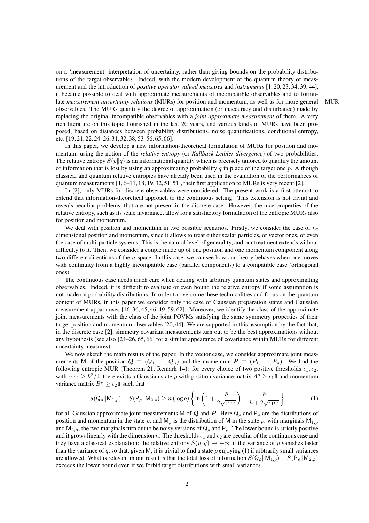on a 'measurement' interpretation of uncertainty, rather than giving bounds on the probability distributions of the target observables. Indeed, with the modern development of the quantum theory of measurement and the introduction of *positive operator valued measures* and *instruments* [1, 20, 23, 34, 39, 44], it became possible to deal with approximate measurements of incompatible observables and to formulate *measurement uncertainty relations* (MURs) for position and momentum, as well as for more general MUR observables. The MURs quantify the degree of approximation (or inaccuracy and disturbance) made by replacing the original incompatible observables with a *joint approximate measurement* of them. A very rich literature on this topic flourished in the last 20 years, and various kinds of MURs have been proposed, based on distances between probability distributions, noise quantifications, conditional entropy, etc. [19, 21, 22, 24–26, 31, 32, 38, 53–56, 65, 66].

In this paper, we develop a new information-theoretical formulation of MURs for position and momentum, using the notion of the *relative entropy* (or *Kullback-Leibler divergence*) of two probabilities. The relative entropy  $S(p||q)$  is an informational quantity which is precisely tailored to quantify the amount of information that is lost by using an approximating probability q in place of the target one p. Although classical and quantum relative entropies have already been used in the evaluation of the performances of quantum measurements  $[1, 6-11, 18, 19, 32, 51, 51]$ , their first application to MURs is very recent  $[2]$ .

In [2], only MURs for discrete observables were considered. The present work is a first attempt to extend that information-theoretical approach to the continuous setting. This extension is not trivial and reveals peculiar problems, that are not present in the discrete case. However, the nice properties of the relative entropy, such as its scale invariance, allow for a satisfactory formulation of the entropic MURs also for position and momentum.

We deal with position and momentum in two possible scenarios. Firstly, we consider the case of  $n$ dimensional position and momentum, since it allows to treat either scalar particles, or vector ones, or even the case of multi-particle systems. This is the natural level of generality, and our treatment extends without difficulty to it. Then, we consider a couple made up of one position and one momentum component along two different directions of the *n*-space. In this case, we can see how our theory behaves when one moves with continuity from a highly incompatible case (parallel components) to a compatible case (orthogonal ones).

The continuous case needs much care when dealing with arbitrary quantum states and approximating observables. Indeed, it is difficult to evaluate or even bound the relative entropy if some assumption is not made on probability distributions. In order to overcome these technicalities and focus on the quantum content of MURs, in this paper we consider only the case of Gaussian preparation states and Gaussian measurement apparatuses [16, 36, 45, 46, 49, 59, 62]. Moreover, we identify the class of the approximate joint measurements with the class of the joint POVMs satisfying the same symmetry properties of their target position and momentum observables [20, 44]. We are supported in this assumption by the fact that, in the discrete case [2], simmetry covariant measurements turn out to be the best approximations without any hypothesis (see also [24–26, 65, 66] for a similar appearance of covariance within MURs for different uncertainty measures).

We now sketch the main results of the paper. In the vector case, we consider approximate joint measurements M of the position  $Q \equiv (Q_1, \ldots, Q_n)$  and the momentum  $P \equiv (P_1, \ldots, P_n)$ . We find the following entropic MUR (Theorem 21, Remark 14): for every choice of two positive thresholds  $\epsilon_1, \epsilon_2$ , with  $\epsilon_1 \epsilon_2 \ge \hbar^2/4$ , there exists a Gaussian state  $\rho$  with position variance matrix  $A^{\rho} \ge \epsilon_1 \mathbb{1}$  and momentum variance matrix  $B^{\rho} \geq \epsilon_2 \mathbb{1}$  such that

$$
S(\mathsf{Q}_{\rho}||\mathsf{M}_{1,\rho}) + S(\mathsf{P}_{\rho}||\mathsf{M}_{2,\rho}) \ge n (\log e) \left\{ \ln \left( 1 + \frac{\hbar}{2\sqrt{\epsilon_1 \epsilon_2}} \right) - \frac{\hbar}{\hbar + 2\sqrt{\epsilon_1 \epsilon_2}} \right\} \tag{1}
$$

for all Gaussian approximate joint measurements M of Q and P. Here  $Q_\rho$  and P<sub> $_\rho$ </sub> are the distributions of position and momentum in the state  $\rho$ , and  $M_\rho$  is the distribution of M in the state  $\rho$ , with marginals  $M_{1,\rho}$ and  $M_{2,\rho}$ ; the two marginals turn out to be noisy versions of  $Q_\rho$  and  $P_\rho$ . The lower bound is strictly positive and it grows linearly with the dimension n. The thresholds  $\epsilon_1$  and  $\epsilon_2$  are peculiar of the continuous case and they have a classical explanation: the relative entropy  $S(p||q) \rightarrow +\infty$  if the variance of p vanishes faster than the variance of q, so that, given M, it is trivial to find a state  $\rho$  enjoying (1) if arbtrarily small variances are allowed. What is relevant in our result is that the total loss of information  $S(Q_\rho||M_{1,\rho}) + S(P_\rho||M_{2,\rho})$ exceeds the lower bound even if we forbid target distributions with small variances.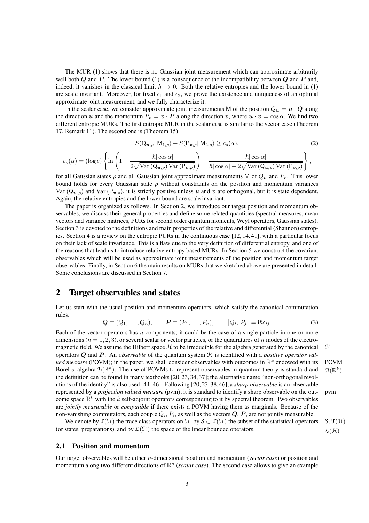The MUR (1) shows that there is no Gaussian joint measurement which can approximate arbitrarily well both Q and P. The lower bound (1) is a consequence of the incompatibility between Q and P and, indeed, it vanishes in the classical limit  $\hbar \to 0$ . Both the relative entropies and the lower bound in (1) are scale invariant. Moreover, for fixed  $\epsilon_1$  and  $\epsilon_2$ , we prove the existence and uniqueness of an optimal approximate joint measurement, and we fully characterize it.

In the scalar case, we consider approximate joint measurements M of the position  $Q_u = u \cdot Q$  along the direction u and the momentum  $P_v = v \cdot P$  along the direction v, where  $u \cdot v = \cos \alpha$ . We find two different entropic MURs. The first entropic MUR in the scalar case is similar to the vector case (Theorem 17, Remark 11). The second one is (Theorem 15):

$$
S(\mathbf{Q}_{\boldsymbol{u},\rho}||\mathbf{M}_{1,\rho}) + S(\mathbf{P}_{\boldsymbol{v},\rho}||\mathbf{M}_{2,\rho}) \ge c_{\rho}(\alpha),\tag{2}
$$

$$
c_{\rho}(\alpha) = (\log \mathrm{e}) \left\{\ln \left(1 + \frac{\hbar |\cos \alpha|}{2\sqrt{\mathrm{Var}\left({\bf Q}_{\boldsymbol{u},\rho}\right)\mathrm{Var}\left({\bf P}_{\boldsymbol{v},\rho}\right)}}\right) - \frac{\hbar |\cos \alpha|}{\hbar |\cos \alpha| + 2\sqrt{\mathrm{Var}\left({\bf Q}_{\boldsymbol{u},\rho}\right)\mathrm{Var}\left({\bf P}_{\boldsymbol{v},\rho}\right)}}\right\},
$$

for all Gaussian states  $\rho$  and all Gaussian joint approximate measurements M of  $Q_u$  and  $P_v$ . This lower bound holds for every Gaussian state  $\rho$  without constraints on the position and momentum variances  $Var(Q_{u,\rho})$  and  $Var(P_{v,\rho})$ , it is strictly positive unless u and v are orthogonal, but it is state dependent. Again, the relative entropies and the lower bound are scale invariant.

The paper is organized as follows. In Section 2, we introduce our target position and momentum observables, we discuss their general properties and define some related quantities (spectral measures, mean vectors and variance matrices, PURs for second order quantum moments, Weyl operators, Gaussian states). Section 3 is devoted to the definitions and main properties of the relative and differential (Shannon) entropies. Section 4 is a review on the entropic PURs in the continuous case [12, 14, 41], with a particular focus on their lack of scale invariance. This is a flaw due to the very definition of differential entropy, and one of the reasons that lead us to introduce relative entropy based MURs. In Section 5 we construct the covariant observables which will be used as approximate joint measurements of the position and momentum target observables. Finally, in Section 6 the main results on MURs that we sketched above are presented in detail. Some conclusions are discussed in Section 7.

## 2 Target observables and states

Let us start with the usual position and momentum operators, which satisfy the canonical commutation rules:

$$
\mathbf{Q} \equiv (Q_1, \dots, Q_n), \qquad \mathbf{P} \equiv (P_1, \dots, P_n), \qquad [Q_i, P_j] = i\hbar \delta_{ij}.
$$
 (3)

 $^k)$ 

Each of the vector operators has  $n$  components; it could be the case of a single particle in one or more dimensions ( $n = 1, 2, 3$ ), or several scalar or vector particles, or the quadratures of n modes of the electromagnetic field. We assume the Hilbert space  $H$  to be irreducible for the algebra generated by the canonical  $H$ operators Q and P . An *observable* of the quantum system H is identified with a *positive operator valued measure* (POVM); in the paper, we shall consider observables with outcomes in  $\mathbb{R}^k$  endowed with its POVM Borel  $\sigma$ -algebra  $\mathcal{B}(\mathbb{R}^k)$ . The use of POVMs to represent observables in quantum theory is standard and  $\mathcal{B}(\mathbb{R}^k)$ the definition can be found in many textbooks [20, 23, 34, 37]; the alternative name "non-orthogonal resolutions of the identity" is also used [44–46]. Following [20, 23, 38, 46], a *sharp observable* is an observable represented by a *projection valued measure* (pvm); it is standard to identify a sharp observable on the out- pvm come space  $\mathbb{R}^k$  with the k self-adjoint operators corresponding to it by spectral theorem. Two observables are *jointly measurable* or *compatible* if there exists a POVM having them as marginals. Because of the non-vanishing commutators, each couple  $Q_i$ ,  $P_i$ , as well as the vectors  $Q$ ,  $P$ , are not jointly measurable.

We denote by  $\mathcal{T}(\mathcal{H})$  the trace class operators on  $\mathcal{H}$ , by  $\mathcal{S} \subset \mathcal{T}(\mathcal{H})$  the subset of the statistical operators  $\mathcal{S}, \mathcal{T}(\mathcal{H})$ (or states, preparations), and by  $\mathcal{L}(\mathcal{H})$  the space of the linear bounded operators.  $\mathcal{L}(\mathcal{H})$ 

### 2.1 Position and momentum

Our target observables will be either n-dimensional position and momentum (*vector case*) or position and momentum along two different directions of  $\mathbb{R}^n$  (*scalar case*). The second case allows to give an example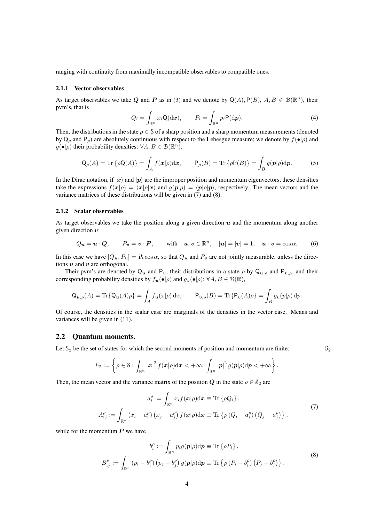ranging with continuity from maximally incompatible observables to compatible ones.

#### 2.1.1 Vector observables

As target observables we take Q and P as in (3) and we denote by  $Q(A)$ ,  $P(B)$ ,  $A, B \in \mathcal{B}(\mathbb{R}^n)$ , their pvm's, that is

$$
Q_i = \int_{\mathbb{R}^n} x_i \mathsf{Q}(\mathrm{d}\boldsymbol{x}), \qquad P_i = \int_{\mathbb{R}^n} p_i \mathsf{P}(\mathrm{d}\boldsymbol{p}). \tag{4}
$$

Then, the distributions in the state  $\rho \in \mathcal{S}$  of a sharp position and a sharp momentum measurements (denoted by  $Q_\rho$  and  $P_\rho$ ) are absolutely continuous with respect to the Lebesgue measure; we denote by  $f(\bullet|\rho)$  and  $g(\bullet|\rho)$  their probability densities:  $\forall A, B \in \mathcal{B}(\mathbb{R}^n)$ ,

$$
Q_{\rho}(A) = \text{Tr}\left\{\rho Q(A)\right\} = \int_{A} f(\boldsymbol{x}|\rho) d\boldsymbol{x}, \qquad P_{\rho}(B) = \text{Tr}\left\{\rho P(B)\right\} = \int_{B} g(\boldsymbol{p}|\rho) d\boldsymbol{p}.
$$
 (5)

In the Dirac notation, if  $|x\rangle$  and  $|p\rangle$  are the improper position and momentum eigenvectors, these densities take the expressions  $f(x|\rho) = \langle x|\rho|x\rangle$  and  $g(p|\rho) = \langle p|\rho|p\rangle$ , respectively. The mean vectors and the variance matrices of these distributions will be given in (7) and (8).

#### 2.1.2 Scalar observables

As target observables we take the position along a given direction  $u$  and the momentum along another given direction  $v$ :

$$
Q_{\mathbf{u}} = \mathbf{u} \cdot \mathbf{Q}, \qquad P_{\mathbf{v}} = \mathbf{v} \cdot \mathbf{P}, \qquad \text{with} \quad \mathbf{u}, \mathbf{v} \in \mathbb{R}^n, \quad |\mathbf{u}| = |\mathbf{v}| = 1, \quad \mathbf{u} \cdot \mathbf{v} = \cos \alpha. \tag{6}
$$

In this case we have  $[Q_u, P_v] = i\hbar \cos \alpha$ , so that  $Q_u$  and  $P_v$  are not jointly measurable, unless the directions  $u$  and  $v$  are orthogonal.

Their pvm's are denoted by  $Q_u$  and  $P_v$ , their distributions in a state  $\rho$  by  $Q_{u,\rho}$  and  $P_{v,\rho}$ , and their corresponding probability densities by  $f_{u}(\bullet|\rho)$  and  $g_{v}(\bullet|\rho)$ :  $\forall A, B \in \mathcal{B}(\mathbb{R})$ ,

$$
\mathsf{Q}_{\mathbf{u},\rho}(A) = \text{Tr}\{\mathsf{Q}_{\mathbf{u}}(A)\rho\} = \int_A f_{\mathbf{u}}(x|\rho) \,dx, \qquad \mathsf{P}_{\mathbf{v},\rho}(B) = \text{Tr}\{\mathsf{P}_{\mathbf{v}}(A)\rho\} = \int_B g_{\mathbf{v}}(p|\rho) \,dp.
$$

Of course, the densities in the scalar case are marginals of the densities in the vector case. Means and variances will be given in (11).

### 2.2 Quantum moments.

Let  $S_2$  be the set of states for which the second moments of position and momentum are finite:  $S_2$ 

$$
\mathcal{S}_2:=\left\{\rho\in\mathcal{S}: \int_{\mathbb{R}^n}|\boldsymbol{x}|^2\,f(\boldsymbol{x}|\rho)\mathrm{d}\boldsymbol{x}<+\infty, \ \int_{\mathbb{R}^n}|\boldsymbol{p}|^2\,g(\boldsymbol{p}|\rho)\mathrm{d}\boldsymbol{p}<+\infty\right\}
$$

Then, the mean vector and the variance matrix of the position Q in the state  $\rho \in \mathcal{S}_2$  are

$$
a_i^{\rho} := \int_{\mathbb{R}^n} x_i f(\mathbf{x} | \rho) d\mathbf{x} \equiv \text{Tr} \left\{ \rho Q_i \right\},
$$
  

$$
A_{ij}^{\rho} := \int_{\mathbb{R}^n} (x_i - a_i^{\rho}) (x_j - a_j^{\rho}) f(\mathbf{x} | \rho) d\mathbf{x} \equiv \text{Tr} \left\{ \rho (Q_i - a_i^{\rho}) (Q_j - a_j^{\rho}) \right\},
$$
 (7)

.

while for the momentum  $P$  we have

$$
b_i^{\rho} := \int_{\mathbb{R}^n} p_i g(\mathbf{p}|\rho) d\mathbf{p} \equiv \text{Tr} \left\{ \rho P_i \right\},
$$
  

$$
B_{ij}^{\rho} := \int_{\mathbb{R}^n} \left( p_i - b_i^{\rho} \right) \left( p_j - b_j^{\rho} \right) g(\mathbf{p}|\rho) d\mathbf{p} \equiv \text{Tr} \left\{ \rho \left( P_i - b_i^{\rho} \right) \left( P_j - b_j^{\rho} \right) \right\}.
$$
 (8)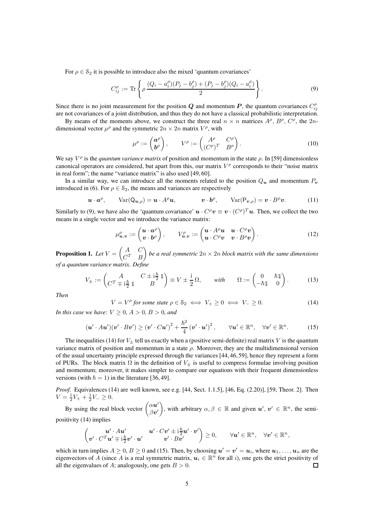For  $\rho \in S_2$  it is possible to introduce also the mixed 'quantum covariances'

$$
C_{ij}^{\rho} := \text{Tr}\left\{\rho \frac{(Q_i - a_i^{\rho})(P_j - b_j^{\rho}) + (P_j - b_j^{\rho})(Q_i - a_i^{\rho})}{2}\right\}.
$$
\n(9)

Since there is no joint measurement for the position Q and momentum P, the quantum covariances  $C_{ij}^{\rho}$ are not covariances of a joint distribution, and thus they do not have a classical probabilistic interpretation.

By means of the moments above, we construct the three real  $n \times n$  matrices  $A^{\rho}$ ,  $B^{\rho}$ ,  $C^{\rho}$ , the  $2n$ dimensional vector  $\mu^{\rho}$  and the symmetric  $2n \times 2n$  matrix  $V^{\rho}$ , with

$$
\mu^{\rho} := \begin{pmatrix} \mathbf{a}^{\rho} \\ \mathbf{b}^{\rho} \end{pmatrix}, \qquad V^{\rho} := \begin{pmatrix} A^{\rho} & C^{\rho} \\ (C^{\rho})^T & B^{\rho} \end{pmatrix}.
$$
 (10)

We say  $V^{\rho}$  is the *quantum variance matrix* of position and momentum in the state  $\rho$ . In [59] dimensionless canonical operators are considered, but apart from this, our matrix  $V^{\rho}$  corresponds to their "noise matrix in real form"; the name "variance matrix" is also used [49, 60].

In a similar way, we can introduce all the moments related to the position  $Q_u$  and momentum  $P_v$ introduced in (6). For  $\rho \in \mathcal{S}_2$ , the means and variances are respectively

$$
\mathbf{u} \cdot \mathbf{a}^{\rho}, \qquad \text{Var}(\mathbf{Q}_{\mathbf{u},\rho}) = \mathbf{u} \cdot A^{\rho} \mathbf{u}, \qquad \qquad \mathbf{v} \cdot \mathbf{b}^{\rho}, \qquad \text{Var}(\mathbf{P}_{\mathbf{v},\rho}) = \mathbf{v} \cdot B^{\rho} \mathbf{v}. \tag{11}
$$

Similarly to (9), we have also the 'quantum covariance'  $u \cdot C^{\rho} v \equiv v \cdot (C^{\rho})^T u$ . Then, we collect the two means in a single vector and we introduce the variance matrix:

$$
\mu_{\boldsymbol{u},\boldsymbol{v}}^{\rho} := \begin{pmatrix} \boldsymbol{u} \cdot \boldsymbol{a}^{\rho} \\ \boldsymbol{v} \cdot \boldsymbol{b}^{\rho} \end{pmatrix}, \qquad V_{\boldsymbol{u},\boldsymbol{v}}^{\rho} := \begin{pmatrix} \boldsymbol{u} \cdot A^{\rho} \boldsymbol{u} & \boldsymbol{u} \cdot C^{\rho} \boldsymbol{v} \\ \boldsymbol{u} \cdot C^{\rho} \boldsymbol{v} & \boldsymbol{v} \cdot B^{\rho} \boldsymbol{v} \end{pmatrix}.
$$
 (12)

Proposition 1. *Let* V =  $\left( A \right) C$  $C^T$  B  $\setminus$ *be a real symmetric* 2n × 2n *block matrix with the same dimensions of a quantum variance matrix. Define*

$$
V_{\pm} := \begin{pmatrix} A & C \pm i\frac{\hbar}{2} \mathbb{1} \\ C^T \mp i\frac{\hbar}{2} \mathbb{1} & B \end{pmatrix} \equiv V \pm \frac{i}{2} \Omega, \quad \text{with} \quad \Omega := \begin{pmatrix} 0 & \hbar \mathbb{1} \\ -\hbar \mathbb{1} & 0 \end{pmatrix}.
$$
 (13)

*Then*

$$
V = V^{\rho} \text{ for some state } \rho \in \mathcal{S}_2 \iff V_+ \ge 0 \iff V_- \ge 0. \tag{14}
$$

*In this case we have:*  $V \geq 0$ ,  $A > 0$ ,  $B > 0$ , and

$$
(\boldsymbol{u}' \cdot A\boldsymbol{u}')(\boldsymbol{v}' \cdot B\boldsymbol{v}') \geq (\boldsymbol{v}' \cdot C\boldsymbol{u}')^2 + \frac{\hbar^2}{4} (\boldsymbol{v}' \cdot \boldsymbol{u}')^2, \qquad \forall \boldsymbol{u}' \in \mathbb{R}^n, \quad \forall \boldsymbol{v}' \in \mathbb{R}^n.
$$
 (15)

The inequalities (14) for  $V_{\pm}$  tell us exactly when a (positive semi-definite) real matrix V is the quantum variance matrix of position and momentum in a state  $\rho$ . Moreover, they are the multidimensional version of the usual uncertainty principle expressed through the variances [44, 46, 59], hence they represent a form of PURs. The block matrix  $\Omega$  in the definition of  $V_{\pm}$  is useful to compress formulae involving position and momentum; moreover, it makes simpler to compare our equations with their frequent dimensionless versions (with  $\hbar = 1$ ) in the literature [36, 49].

*Proof.* Equivalences (14) are well known, see e.g. [44, Sect. 1.1.5], [46, Eq. (2.20)], [59, Theor. 2]. Then  $V = \frac{1}{2}V_+ + \frac{1}{2}V_- \geq 0.$ 

By using the real block vector  $\begin{pmatrix} \alpha u' \\ \beta u'' \end{pmatrix}$  $\beta\bm{v}'$ ), with arbitrary  $\alpha, \beta \in \mathbb{R}$  and given  $u', v' \in \mathbb{R}^n$ , the semipositivity (14) implies

$$
\begin{pmatrix} \boldsymbol{u}'\cdot A\boldsymbol{u}' & \boldsymbol{u}'\cdot C\boldsymbol{v}'\pm\mathrm{i}\frac{\hbar}{2}\boldsymbol{u}'\cdot\boldsymbol{v}'\\ \boldsymbol{v}'\cdot C^T\boldsymbol{u}'\mp\mathrm{i}\frac{\hbar}{2}\boldsymbol{v}'\cdot\boldsymbol{u}' & \boldsymbol{v}'\cdot B\boldsymbol{v}' \end{pmatrix}\geq 0, \qquad \forall \boldsymbol{u}'\in\mathbb{R}^n, \quad \forall \boldsymbol{v}'\in\mathbb{R}^n,
$$

which in turn implies  $A \geq 0$ ,  $B \geq 0$  and (15). Then, by choosing  $u' = v' = u_i$ , where  $u_1, \ldots, u_n$  are the eigenvectors of A (since A is a real symmetric matrix,  $u_i \in \mathbb{R}^n$  for all i), one gets the strict positivity of all the eigenvalues of A; analogously, one gets  $B > 0$ .  $\Box$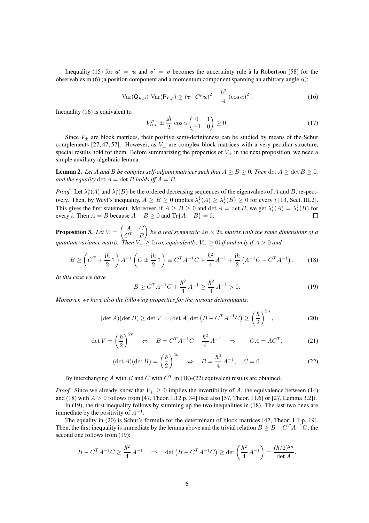Inequality (15) for  $u' = u$  and  $v' = v$  becomes the uncertainty rule à la Robertson [58] for the observables in (6) (a position component and a momentum component spanning an arbitrary angle  $\alpha$ ):

$$
\text{Var}(Q_{\boldsymbol{u},\rho}) \text{Var}(P_{\boldsymbol{v},\rho}) \ge (\boldsymbol{v} \cdot C^{\rho}\boldsymbol{u})^2 + \frac{\hbar^2}{4} (\cos \alpha)^2. \tag{16}
$$

Inequality (16) is equivalent to

$$
V_{\boldsymbol{u},\boldsymbol{v}}^{\rho} \pm \frac{\mathrm{i}\hbar}{2} \cos \alpha \begin{pmatrix} 0 & 1 \\ -1 & 0 \end{pmatrix} \ge 0. \tag{17}
$$

Since  $V_{+}$  are block matrices, their positive semi-definiteness can be studied by means of the Schur complements [27, 47, 57]. However, as  $V_{\pm}$  are complex block matrices with a very peculiar structure, special results hold for them. Before summarizing the properties of  $V_{\pm}$  in the next proposition, we need a simple auxiliary algebraic lemma.

**Lemma 2.** Let A and B be complex self-adjoint matrices such that  $A \geq B \geq 0$ . Then  $\det A \geq \det B \geq 0$ , *and the equality*  $\det A = \det B$  *holds iff*  $A = B$ *.* 

*Proof.* Let  $\lambda_i^*(A)$  and  $\lambda_i^*(B)$  be the ordered decreasing sequences of the eigenvalues of A and B, respectively. Then, by Weyl's inequality,  $A \ge B \ge 0$  implies  $\lambda_i^*(A) \ge \lambda_i^*(B) \ge 0$  for every *i* [13, Sect. III.2]. This gives the first statement. Moreover, if  $A \geq B \geq 0$  and  $\det A = \det B$ , we get  $\lambda_i^{\downarrow}(A) = \lambda_i^{\downarrow}(B)$  for every *i*. Then  $A = B$  because  $A - B \ge 0$  and  $\text{Tr}{A - B} = 0$ .

Proposition 3. *Let* V =  $\left( A \right) C$  $C^T$  B  $\overline{ }$ *be a real symmetric*  $2n \times 2n$  *matrix with the same dimensions of a quantum variance matrix. Then*  $V_+ \geq 0$  *(or, equivalently,*  $V_- \geq 0$ *) if and only if*  $A > 0$  *and* 

$$
B \ge \left( C^T \mp \frac{\mathrm{i} \hbar}{2} \mathbb{1} \right) A^{-1} \left( C \pm \frac{\mathrm{i} \hbar}{2} \mathbb{1} \right) \equiv C^T A^{-1} C + \frac{\hbar^2}{4} A^{-1} \mp \frac{\mathrm{i} \hbar}{2} \left( A^{-1} C - C^T A^{-1} \right). \tag{18}
$$

*In this case we have*

$$
B \ge C^T A^{-1} C + \frac{\hbar^2}{4} A^{-1} \ge \frac{\hbar^2}{4} A^{-1} > 0.
$$
 (19)

*Moreover, we have also the following properties for the various determinants:*

$$
(\det A)(\det B) \ge \det V = (\det A)\det \left(B - C^T A^{-1} C\right) \ge \left(\frac{\hbar}{2}\right)^{2n},\tag{20}
$$

$$
\det V = \left(\frac{\hbar}{2}\right)^{2n} \iff B = C^T A^{-1} C + \frac{\hbar^2}{4} A^{-1} \Rightarrow C A = A C^T,\tag{21}
$$

$$
(\det A)(\det B) = \left(\frac{\hbar}{2}\right)^{2n} \iff B = \frac{\hbar^2}{4}A^{-1}, \quad C = 0.
$$
 (22)

By interchanging A with B and C with  $C<sup>T</sup>$  in (18)-(22) equivalent results are obtained.

*Proof.* Since we already know that  $V_+ \geq 0$  implies the invertibility of A, the equivalence between (14) and (18) with  $A > 0$  follows from [47, Theor. 1.12 p. 34] (see also [57, Theor. 11.6] or [27, Lemma 3.2]).

In (19), the first inequality follows by summing up the two inequalities in (18). The last two ones are immediate by the positivity of  $A^{-1}$ .

The equality in (20) is Schur's formula for the determinant of block matrices [47, Theor. 1.1 p. 19]. Then, the first inequality is immediate by the lemma above and the trivial relation  $B \geq B - C^{T}A^{-1}C$ ; the second one follows from (19):

$$
B - C^{T} A^{-1} C \ge \frac{\hbar^{2}}{4} A^{-1} \quad \Rightarrow \quad \det \left( B - C^{T} A^{-1} C \right) \ge \det \left( \frac{\hbar^{2}}{4} A^{-1} \right) = \frac{(\hbar/2)^{2n}}{\det A}.
$$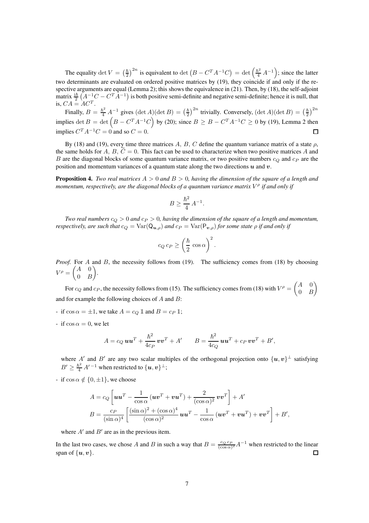The equality det  $V = \left(\frac{\hbar}{2}\right)$  $\left(\frac{\hbar}{2}\right)^{2n}$  is equivalent to det  $\left(B - C^{T} A^{-1} C\right) = \det\left(\frac{\hbar^2}{4} A^{-1}\right)$ ; since the latter two determinants are evaluated on ordered positive matrices by (19), they coincide if and only if the respective arguments are equal (Lemma 2); this shows the equivalence in (21). Then, by (18), the self-adjoint matrix  $\frac{i\hbar}{2} (A^{-1}C - C^{T}A^{-1})$  is both positive semi-definite and negative semi-definite; hence it is null, that is,  $CA = AC^T$ .

Finally,  $B = \frac{\hbar^2}{4} A^{-1}$  gives  $(\det A)(\det B) = \left(\frac{\hbar}{2}\right)$  $\frac{\hbar}{2}$ )<sup>2n</sup> trivially. Conversely, (det *A*)(det *B*) =  $(\frac{\hbar}{2})$  $\frac{\hbar}{2}$ ) $^{2n}$ implies det  $B = \det (B - C^T A^{-1} C)$  by (20); since  $B \ge B - C^T A^{-1} C \ge 0$  by (19), Lemma 2 then implies  $C^{T}A^{-1}C = 0$  and so  $C = 0$ .  $\Box$ 

By (18) and (19), every time three matrices A, B, C define the quantum variance matrix of a state  $\rho$ , the same holds for  $A, B, C = 0$ . This fact can be used to characterize when two positive matrices  $A$  and B are the diagonal blocks of some quantum variance matrix, or two positive numbers  $c_Q$  and  $c_P$  are the position and momentum variances of a quantum state along the two directions  $u$  and  $v$ .

Proposition 4. *Two real matrices* A > 0 *and* B > 0*, having the dimension of the square of a length and momentum, respectively, are the diagonal blocks of a quantum variance matrix* V ρ *if and only if*

$$
B \ge \frac{\hbar^2}{4} A^{-1}.
$$

*Two real numbers*  $c_Q > 0$  *and*  $c_P > 0$ *, having the dimension of the square of a length and momentum, respectively, are such that*  $c_Q = \text{Var}(Q_{u,\rho})$  *and*  $c_P = \text{Var}(P_{v,\rho})$  *for some state*  $\rho$  *if and only if* 

$$
c_Q c_P \ge \left(\frac{\hbar}{2} \cos \alpha\right)^2.
$$

*Proof.* For A and B, the necessity follows from (19). The sufficiency comes from (18) by choosing  $V^{\rho} = \begin{pmatrix} A & 0 \\ 0 & E \end{pmatrix}$  $0 \quad B$  $\setminus$ .

For  $c_Q$  and  $c_P$ , the necessity follows from (15). The sufficiency comes from (18) with  $V^{\rho} = \begin{pmatrix} A & 0 \\ 0 & B \end{pmatrix}$  $0 \quad B$  $\setminus$ and for example the following choices of  $A$  and  $B$ :

- if  $\cos \alpha = \pm 1$ , we take  $A = c_Q \mathbb{1}$  and  $B = c_P \mathbb{1}$ ;
- if  $\cos \alpha = 0$ , we let

$$
A = c_Q \mathbf{u} \mathbf{u}^T + \frac{\hbar^2}{4c_P} \mathbf{v} \mathbf{v}^T + A' \qquad B = \frac{\hbar^2}{4c_Q} \mathbf{u} \mathbf{u}^T + c_P \mathbf{v} \mathbf{v}^T + B',
$$

where  $A'$  and  $B'$  are any two scalar multiples of the orthogonal projection onto  $\{u, v\}^{\perp}$  satisfying  $B' \geq \frac{\hbar^2}{4} A'^{-1}$  when restricted to  $\{u, v\}^{\perp}$ ;

- if  $\cos \alpha \notin \{0, \pm 1\}$ , we choose

$$
A = c_Q \left[ \boldsymbol{u} \boldsymbol{u}^T - \frac{1}{\cos \alpha} \left( \boldsymbol{u} \boldsymbol{v}^T + \boldsymbol{v} \boldsymbol{u}^T \right) + \frac{2}{(\cos \alpha)^2} \boldsymbol{v} \boldsymbol{v}^T \right] + A'
$$
  

$$
B = \frac{c_P}{(\sin \alpha)^4} \left[ \frac{(\sin \alpha)^2 + (\cos \alpha)^4}{(\cos \alpha)^2} \boldsymbol{u} \boldsymbol{u}^T - \frac{1}{\cos \alpha} \left( \boldsymbol{u} \boldsymbol{v}^T + \boldsymbol{v} \boldsymbol{u}^T \right) + \boldsymbol{v} \boldsymbol{v}^T \right] + B',
$$

where  $A'$  and  $B'$  are as in the previous item.

In the last two cases, we chose A and B in such a way that  $B = \frac{c_Q c_P}{(cos \alpha)}$  $\frac{c_Q c_P}{(\cos \alpha)^2} A^{-1}$  when restricted to the linear span of  $\{u, v\}$ .  $\Box$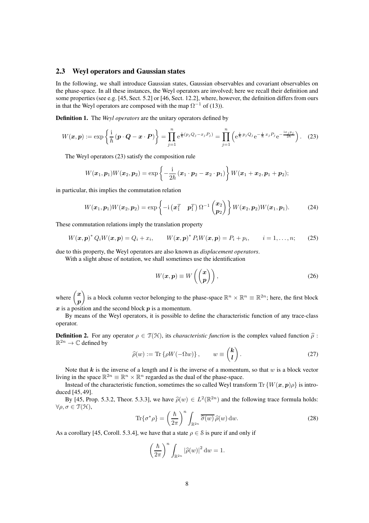## 2.3 Weyl operators and Gaussian states

In the following, we shall introduce Gaussian states, Gaussian observables and covariant observables on the phase-space. In all these instances, the Weyl operators are involved; here we recall their definition and some properties (see e.g. [45, Sect. 5.2] or [46, Sect. 12.2], where, however, the definition differs from ours in that the Weyl operators are composed with the map  $\Omega^{-1}$  of (13)).

Definition 1. The *Weyl operators* are the unitary operators defined by

$$
W(\boldsymbol{x}, \boldsymbol{p}) := \exp\left\{\frac{i}{\hbar}(\boldsymbol{p} \cdot \boldsymbol{Q} - \boldsymbol{x} \cdot \boldsymbol{P})\right\} = \prod_{j=1}^{n} e^{\frac{i}{\hbar}(p_j Q_j - x_j P_j)} = \prod_{j=1}^{n} \left(e^{\frac{i}{\hbar}p_j Q_j} e^{-\frac{i}{\hbar}x_j P_j} e^{-\frac{i x_j p_j}{2\hbar}}\right).
$$
 (23)

The Weyl operators (23) satisfy the composition rule

$$
W(\boldsymbol{x}_1,\boldsymbol{p}_1)W(\boldsymbol{x}_2,\boldsymbol{p}_2)=\exp\left\{-\frac{\mathrm{i}}{2\hbar}(\boldsymbol{x}_1\cdot\boldsymbol{p}_2-\boldsymbol{x}_2\cdot\boldsymbol{p}_1)\right\}W(\boldsymbol{x}_1+\boldsymbol{x}_2,\boldsymbol{p}_1+\boldsymbol{p}_2);
$$

in particular, this implies the commutation relation

$$
W(\boldsymbol{x}_1,\boldsymbol{p}_1)W(\boldsymbol{x}_2,\boldsymbol{p}_2)=\exp\left\{-\mathrm{i}\left(\boldsymbol{x}_1^T\ \ \boldsymbol{p}_1^T\right)\Omega^{-1}\begin{pmatrix}\boldsymbol{x}_2\\ \boldsymbol{p}_2\end{pmatrix}\right\}W(\boldsymbol{x}_2,\boldsymbol{p}_2)W(\boldsymbol{x}_1,\boldsymbol{p}_1). \tag{24}
$$

These commutation relations imply the translation property

$$
W(\bm{x}, \bm{p})^* Q_i W(\bm{x}, \bm{p}) = Q_i + x_i, \qquad W(\bm{x}, \bm{p})^* P_i W(\bm{x}, \bm{p}) = P_i + p_i, \qquad i = 1, ..., n; \qquad (25)
$$

due to this property, the Weyl operators are also known as *displacement operators*.

With a slight abuse of notation, we shall sometimes use the identification

$$
W(\boldsymbol{x}, \boldsymbol{p}) \equiv W\left(\begin{pmatrix} \boldsymbol{x} \\ \boldsymbol{p} \end{pmatrix}\right),\tag{26}
$$

where  $\begin{pmatrix} x \\ y \end{pmatrix}$ p ) is a block column vector belonging to the phase-space  $\mathbb{R}^n \times \mathbb{R}^n \equiv \mathbb{R}^{2n}$ ; here, the first block  $x$  is a position and the second block  $p$  is a momentum.

By means of the Weyl operators, it is possible to define the characteristic function of any trace-class operator.

**Definition 2.** For any operator  $\rho \in \mathcal{T}(\mathcal{H})$ , its *characteristic function* is the complex valued function  $\hat{\rho}$ :  $\mathbb{R}^{2n} \to \mathbb{C}$  defined by

$$
\widehat{\rho}(w) := \text{Tr}\left\{\rho W(-\Omega w)\right\}, \qquad w \equiv \begin{pmatrix} k \\ l \end{pmatrix}.
$$
 (27)

Note that k is the inverse of a length and l is the inverse of a momentum, so that w is a block vector living in the space  $\mathbb{R}^{2n} \equiv \mathbb{R}^n \times \mathbb{R}^n$  regarded as the dual of the phase-space.

Instead of the characteristic function, sometimes the so called Weyl transform Tr { $W(x, p)$  $\rho$ } is introduced [45, 49].

By [45, Prop. 5.3.2, Theor. 5.3.3], we have  $\hat{\rho}(w) \in L^2(\mathbb{R}^{2n})$  and the following trace formula holds:  $\forall \rho, \sigma \in \mathfrak{T}(\mathfrak{H}),$ 

$$
\operatorname{Tr}\{\sigma^*\rho\} = \left(\frac{\hbar}{2\pi}\right)^n \int_{\mathbb{R}^{2n}} \overline{\hat{\sigma}(w)} \,\hat{\rho}(w) \,dw. \tag{28}
$$

As a corollary [45, Coroll. 5.3.4], we have that a state  $\rho \in \mathcal{S}$  is pure if and only if

$$
\left(\frac{\hbar}{2\pi}\right)^n \int_{\mathbb{R}^{2n}} |\widehat{\rho}(w)|^2 \, \mathrm{d}w = 1.
$$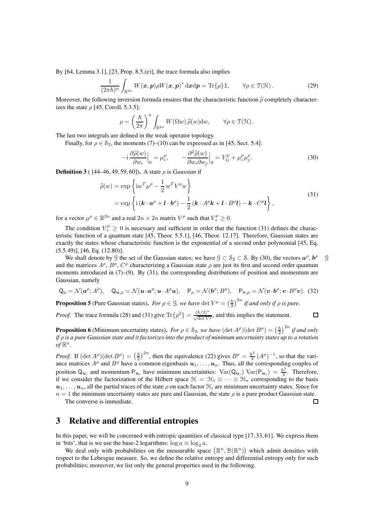By [64, Lemma 3.1], [23, Prop. 8.5.(e)], the trace formula also implies

$$
\frac{1}{(2\pi\hbar)^n}\int_{\mathbb{R}^{2n}}W(\boldsymbol{x},\boldsymbol{p})\rho W(\boldsymbol{x},\boldsymbol{p})^*\,\mathrm{d}\boldsymbol{x}\mathrm{d}\boldsymbol{p} = \mathrm{Tr}\{\rho\}\,\mathbb{1},\qquad\forall\rho\in\mathfrak{I}(\mathfrak{H})\,.
$$

Moreover, the following inversion formula ensures that the characteristic function  $\hat{\rho}$  completely characterizes the state  $\rho$  [45, Coroll. 5.3.5]:

$$
\rho = \left(\frac{\hbar}{2\pi}\right)^n \int_{\mathbb{R}^{2n}} W(\Omega w) \,\widehat{\rho}(w) \mathrm{d}w, \qquad \forall \rho \in \mathfrak{T}(\mathcal{H})\,.
$$

The last two integrals are defined in the weak operator topology.

Finally, for  $\rho \in S_2$ , the moments (7)–(10) can be expressed as in [45, Sect. 5.4]:

$$
-i\frac{\partial \widehat{\rho}(w)}{\partial w_i}\Big|_0 = \mu_i^{\rho}, \qquad -\frac{\partial^2 \widehat{\rho}(w)}{\partial w_i \partial w_j}\Big|_0 = V_{ij}^{\rho} + \mu_i^{\rho} \mu_j^{\rho}.
$$
 (30)

**Definition 3** ( $[44–46, 49, 59, 60]$ ). A state  $\rho$  is *Gaussian* if

$$
\widehat{\rho}(w) = \exp\left\{iw^T\mu^\rho - \frac{1}{2}w^T V^\rho w\right\}
$$
\n
$$
= \exp\left\{i(\mathbf{k} \cdot \mathbf{a}^\rho + \mathbf{l} \cdot \mathbf{b}^\rho) - \frac{1}{2}(\mathbf{k} \cdot A^\rho \mathbf{k} + \mathbf{l} \cdot B^\rho \mathbf{l}) - \mathbf{k} \cdot C^\rho \mathbf{l}\right\},
$$
\n(31)

for a vector  $\mu^{\rho} \in \mathbb{R}^{2n}$  and a real  $2n \times 2n$  matrix  $V^{\rho}$  such that  $V^{\rho}_+ \geq 0$ .

The condition  $V_+^{\rho} \geq 0$  is necessary and sufficient in order that the function (31) defines the characteristic function of a quantum state [45, Theor. 5.5.1], [46, Theor. 12.17]. Therefore, Gaussian states are exactly the states whose characteristic function is the exponential of a second order polynomial [45, Eq. (5.5.49)], [46, Eq. (12.80)].

We shall denote by G the set of the Gaussian states; we have  $G \subset S_2 \subset S$ . By (30), the vectors  $a^{\rho}$ , b and the matrices  $A^{\rho}$ ,  $B^{\rho}$ ,  $C^{\rho}$  characterizing a Gaussian state  $\rho$  are just its first and second order quantum moments introduced in  $(7)$ – $(9)$ . By  $(31)$ , the corresponding distributions of position and momentum are Gaussian, namely

$$
\mathbf{Q}_{\rho} = \mathcal{N}(\mathbf{a}^{\rho}; A^{\rho}), \quad \mathbf{Q}_{\mathbf{u}, \rho} = \mathcal{N}(\mathbf{u} \cdot \mathbf{a}^{\rho}; \mathbf{u} \cdot A^{\rho} \mathbf{u}), \quad \mathbf{P}_{\rho} = \mathcal{N}(\mathbf{b}^{\rho}; B^{\rho}), \quad \mathbf{P}_{\mathbf{v}, \rho} = \mathcal{N}(\mathbf{v} \cdot \mathbf{b}^{\rho}; \mathbf{v} \cdot B^{\rho} \mathbf{v}).
$$
 (32)

**Proposition 5** (Pure Gaussian states). *For*  $\rho \in \mathcal{G}$ *, we have* det  $V^{\rho} = \left(\frac{\hbar}{2}\right)$  $\frac{\hbar}{2}$ )<sup>2n</sup> if and only if  $\rho$  is pure.

*Proof.* The trace formula (28) and (31) give Tr $\{\rho^2\} = \frac{(\hbar/2)^n}{\sqrt{\det V \rho}}$ , and this implies the statement.

**Proposition 6** (Minimum uncertainty states). *For*  $\rho \in \mathcal{S}_2$ , we have  $(\det A^{\rho})(\det B^{\rho}) = \left(\frac{\hbar}{2}\right)$  $\frac{\hbar}{2}$ )<sup>2*n*</sup> if and only *if* ρ *is a pure Gaussian state and it factorizes into the product of minimum uncertainty states up to a rotation*  $of \mathbb{R}^n$ .

*Proof.* If  $(\det A^{\rho})(\det B^{\rho}) = \left(\frac{\hbar}{2}\right)^{\rho}$  $\frac{\hbar}{2}$ )<sup>2n</sup>, then the equivalence (22) gives  $B^{\rho} = \frac{\hbar^2}{4}$  $\frac{5^2}{4}(A^{\rho})^{-1}$ , so that the variance matrices  $A^{\rho}$  and  $B^{\rho}$  have a common eigenbasis  $u_1, \ldots, u_n$ . Thus, all the corresponding couples of position  $Q_{u_i}$  and momentum  $P_{u_i}$  have minimum uncertainties:  $Var(Q_{u_i}) Var(P_{u_i}) = \frac{\hbar^2}{4}$ . Therefore, if we consider the factorization of the Hilbert space  $\mathcal{H} = \mathcal{H}_1 \otimes \cdots \otimes \mathcal{H}_n$  corresponding to the basis  $u_1, \ldots, u_n$ , all the partial traces of the state  $\rho$  on each factor  $\mathcal{H}_i$  are minimum uncertainty states. Since for  $n = 1$  the minimum uncertainty states are pure and Gaussian, the state  $\rho$  is a pure product Gaussian state.

The converse is immediate.

## 3 Relative and differential entropies

In this paper, we will be concerned with entropic quantities of classical type [17, 33, 61]. We express them in 'bits', that is we use the base-2 logarithms:  $\log a \equiv \log_2 a$ .

We deal only with probabilities on the measurable space  $(\mathbb{R}^n, \mathcal{B}(\mathbb{R}^n))$  which admit densities with respect to the Lebesgue measure. So, we define the relative entropy and differential entropy only for such probabilities; moreover, we list only the general properties used in the following.

 $\Box$ 

 $\Box$ 

<sup>ρ</sup> G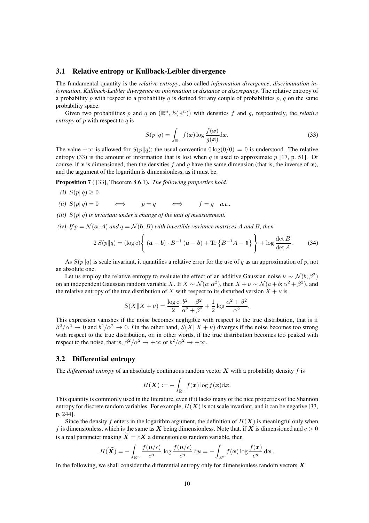## 3.1 Relative entropy or Kullback-Leibler divergence

The fundamental quantity is the *relative entropy*, also called *information divergence*, *discrimination information*, *Kullback-Leibler divergence* or *information* or *distance* or *discrepancy*. The relative entropy of a probability p with respect to a probability q is defined for any couple of probabilities p, q on the same probability space.

Given two probabilities p and q on  $(\mathbb{R}^n, \mathcal{B}(\mathbb{R}^n))$  with densities f and g, respectively, the *relative entropy* of p with respect to q is

$$
S(p||q) = \int_{\mathbb{R}^n} f(\boldsymbol{x}) \log \frac{f(\boldsymbol{x})}{g(\boldsymbol{x})} d\boldsymbol{x}.
$$
 (33)

The value + $\infty$  is allowed for  $S(p||q)$ ; the usual convention  $0 \log(0/0) = 0$  is understood. The relative entropy (33) is the amount of information that is lost when q is used to approximate  $p$  [17, p. 51]. Of course, if x is dimensioned, then the densities f and q have the same dimension (that is, the inverse of x), and the argument of the logarithm is dimensionless, as it must be.

Proposition 7 ( [33], Theorem 8.6.1). *The following properties hold.*

- *(i)*  $S(p||q) \geq 0$ .
- *(ii)*  $S(p||q) = 0 \iff p = q \iff f = g \text{ a.e.}$
- *(iii)*  $S(p||q)$  *is invariant under a change of the unit of measurement.*
- *(iv)* If  $p = \mathcal{N}(a; A)$  *and*  $q = \mathcal{N}(b; B)$  *with invertible variance matrices* A *and* B, *then*

$$
2 S(p||q) = (\log e) \left\{ (\boldsymbol{a} - \boldsymbol{b}) \cdot B^{-1} (\boldsymbol{a} - \boldsymbol{b}) + \text{Tr} \left\{ B^{-1} A - \mathbb{1} \right\} \right\} + \log \frac{\det B}{\det A}.
$$
 (34)

As  $S(p||q)$  is scale invariant, it quantifies a relative error for the use of q as an approximation of p, not an absolute one.

Let us employ the relative entropy to evaluate the effect of an additive Gaussian noise  $\nu \sim \mathcal{N}(b; \beta^2)$ on an independent Gaussian random variable X. If  $X \sim \mathcal{N}(a; \alpha^2)$ , then  $X + \nu \sim \mathcal{N}(a + b; \alpha^2 + \beta^2)$ , and the relative entropy of the true distribution of X with respect to its disturbed version  $X + \nu$  is

$$
S(X||X + \nu) = \frac{\log e}{2} \frac{b^2 - \beta^2}{\alpha^2 + \beta^2} + \frac{1}{2} \log \frac{\alpha^2 + \beta^2}{\alpha^2}.
$$

This expression vanishes if the noise becomes negligible with respect to the true distribution, that is if  $\beta^2/\alpha^2 \to 0$  and  $b^2/\alpha^2 \to 0$ . On the other hand,  $S(X||X + \nu)$  diverges if the noise becomes too strong with respect to the true distribution, or, in other words, if the true distribution becomes too peaked with respect to the noise, that is,  $\beta^2/\alpha^2 \to +\infty$  or  $b^2/\alpha^2 \to +\infty$ .

## 3.2 Differential entropy

The *differential entropy* of an absolutely continuous random vector  $\boldsymbol{X}$  with a probability density f is

$$
H(\boldsymbol{X}) := -\int_{\mathbb{R}^n} f(\boldsymbol{x}) \log f(\boldsymbol{x}) \mathrm{d}\boldsymbol{x}.
$$

This quantity is commonly used in the literature, even if it lacks many of the nice properties of the Shannon entropy for discrete random variables. For example,  $H(X)$  is not scale invariant, and it can be negative [33, p. 244].

Since the density f enters in the logarithm argument, the definition of  $H(X)$  is meaningful only when f is dimensionless, which is the same as X being dimensionless. Note that, if X is dimensioned and  $c > 0$ is a real parameter making  $\widetilde{X} = cX$  a dimensionless random variable, then

$$
H(\widetilde{\boldsymbol{X}}) = -\int_{\mathbb{R}^n} \frac{f(\boldsymbol{u}/c)}{c^n} \log \frac{f(\boldsymbol{u}/c)}{c^n} d\boldsymbol{u} = -\int_{\mathbb{R}^n} f(\boldsymbol{x}) \log \frac{f(\boldsymbol{x})}{c^n} d\boldsymbol{x}.
$$

In the following, we shall consider the differential entropy only for dimensionless random vectors  $X$ .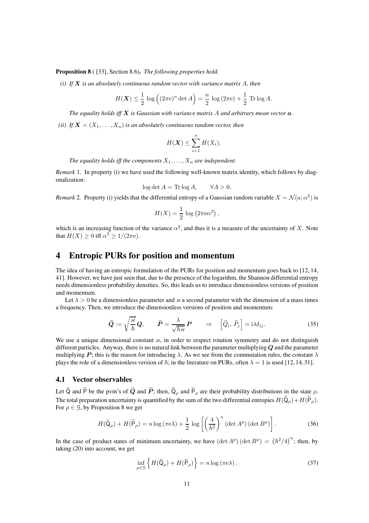Proposition 8 ( [33], Section 8.6). *The following properties hold.*

*(i) If* X *is an absolutely continuous random vector with variance matrix* A*, then*

$$
H(\mathbf{X}) \le \frac{1}{2} \log \left( (2\pi e)^n \det A \right) = \frac{n}{2} \log \left( 2\pi e \right) + \frac{1}{2} \operatorname{Tr} \log A.
$$

*The equality holds iff* X *is Gaussian with variance matrix* A *and arbitrary mean vector* a*.*

*(ii)* If  $X = (X_1, \ldots, X_n)$  *is an absolutely continuous random vector, then* 

$$
H(\boldsymbol{X}) \leq \sum_{i=1}^n H(X_i).
$$

*The equality holds iff the components*  $X_1, \ldots, X_n$  *are independent.* 

*Remark* 1. In property (i) we have used the following well-known matrix identity, which follows by diagonalization:

$$
\log \det A = \text{Tr} \log A, \qquad \forall A > 0.
$$

*Remark* 2. Property (i) yields that the differential entropy of a Gaussian random variable  $X \sim \mathcal{N}(a; \alpha^2)$  is

$$
H(X) = \frac{1}{2} \log (2\pi \epsilon \alpha^2),
$$

which is an increasing function of the variance  $\alpha^2$ , and thus it is a measure of the uncertainty of X. Note that  $H(X) \ge 0$  iff  $\alpha^2 \ge 1/(2\pi\mathrm{e})$ .

## 4 Entropic PURs for position and momentum

The idea of having an entropic formulation of the PURs for position and momentum goes back to [12, 14, 41]. However, we have just seen that, due to the presence of the logarithm, the Shannon differential entropy needs dimensionless probability densities. So, this leads us to introduce dimensionless versions of position and momentum.

Let  $\lambda > 0$  be a dimensionless parameter and  $\varkappa$  a second parameter with the dimension of a mass times a frequency. Then, we introduce the dimensionless versions of position and momentum:

$$
\widetilde{Q} := \sqrt{\frac{\varkappa}{\hbar}} Q, \qquad \widetilde{P} = \frac{\lambda}{\sqrt{\hbar \varkappa}} P \qquad \Rightarrow \quad \left[ \widetilde{Q}_i, \widetilde{P}_j \right] = \mathrm{i} \lambda \delta_{ij}.
$$
\n(35)

We use a unique dimensional constant  $\varkappa$ , in order to respect rotation symmetry and do not distinguish different particles. Anyway, there is no natural link between the parameter multiplying  $Q$  and the parameter multiplying P; this is the reason for introducing  $\lambda$ . As we see from the commutation rules, the constant  $\lambda$ plays the role of a dimensionless version of  $\hbar$ ; in the literature on PURs, often  $\lambda = 1$  is used [12, 14, 31].

## 4.1 Vector observables

Let  $\tilde{Q}$  and  $\tilde{P}$  be the pvm's of  $\tilde{Q}$  and  $\tilde{P}$ ; then,  $\tilde{Q}_{\rho}$  and  $\tilde{P}_{\rho}$  are their probability distributions in the state  $\rho$ . The total preparation uncertainty is quantified by the sum of the two differential entropies  $H(\widetilde{Q}_{\rho})+H(\widetilde{P}_{\rho})$ . For  $\rho \in \mathcal{G}$ , by Proposition 8 we get

$$
H(\widetilde{\mathsf{Q}}_{\rho}) + H(\widetilde{\mathsf{P}}_{\rho}) = n \log (\pi \mathsf{e} \lambda) + \frac{1}{2} \log \left[ \left( \frac{4}{\hbar^2} \right)^n (\det A^{\rho}) (\det B^{\rho}) \right]. \tag{36}
$$

In the case of product states of minimum uncertainty, we have  $(\det A^{\rho}) (\det B^{\rho}) = (\hbar^2/4)^n$ ; then, by taking (20) into account, we get

$$
\inf_{\rho \in \mathcal{G}} \left\{ H(\widetilde{\mathsf{Q}}_{\rho}) + H(\widetilde{\mathsf{P}}_{\rho}) \right\} = n \log \left( \pi \mathsf{e} \lambda \right). \tag{37}
$$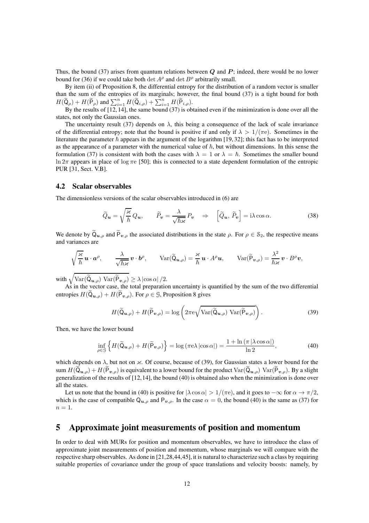Thus, the bound (37) arises from quantum relations between  $Q$  and  $P$ ; indeed, there would be no lower bound for (36) if we could take both  $\det A^{\rho}$  and  $\det B^{\rho}$  arbitrarily small.

By item (ii) of Proposition 8, the differential entropy for the distribution of a random vector is smaller than the sum of the entropies of its marginals; however, the final bound (37) is a tight bound for both  $H(\widetilde{\mathsf{Q}}_{\rho}) + H(\widetilde{\mathsf{P}}_{\rho})$  and  $\sum_{i=1}^{n} H(\widetilde{\mathsf{Q}}_{i,\rho}) + \sum_{i=1}^{n} H(\widetilde{\mathsf{P}}_{i,\rho}).$ 

By the results of [12, 14], the same bound (37) is obtained even if the minimization is done over all the states, not only the Gaussian ones.

The uncertainty result (37) depends on  $\lambda$ , this being a consequence of the lack of scale invariance of the differential entropy; note that the bound is positive if and only if  $\lambda > 1/(\pi e)$ . Sometimes in the literature the parameter  $\hbar$  appears in the argument of the logarithm [19, 32]; this fact has to be interpreted as the appearance of a parameter with the numerical value of  $\hbar$ , but without dimensions. In this sense the formulation (37) is consistent with both the cases with  $\lambda = 1$  or  $\lambda = \hbar$ . Sometimes the smaller bound ln  $2\pi$  appears in place of log  $\pi e$  [50]; this is connected to a state dependent formulation of the entropic PUR [31, Sect. V.B].

#### 4.2 Scalar observables

The dimensionless versions of the scalar observables introduced in (6) are

$$
\widetilde{Q}_{\mathbf{u}} = \sqrt{\frac{\varkappa}{\hbar}} Q_{\mathbf{u}}, \qquad \widetilde{P}_{\mathbf{v}} = \frac{\lambda}{\sqrt{\hbar \varkappa}} P_{\mathbf{v}} \quad \Rightarrow \quad \left[ \widetilde{Q}_{\mathbf{u}}, \widetilde{P}_{\mathbf{v}} \right] = \mathrm{i} \lambda \cos \alpha. \tag{38}
$$

We denote by  $\widetilde{Q}_{u,\rho}$  and  $\widetilde{P}_{v,\rho}$  the associated distributions in the state  $\rho$ . For  $\rho \in \mathcal{S}_2$ , the respective means and variances are

$$
\sqrt{\frac{\varkappa}{\hbar}}\,\boldsymbol{u}\cdot\boldsymbol{a}^{\rho},\qquad\frac{\lambda}{\sqrt{\hbar\varkappa}}\,\boldsymbol{v}\cdot\boldsymbol{b}^{\rho},\qquad\text{Var}(\widetilde{\mathsf{Q}}_{\boldsymbol{u},\rho})=\frac{\varkappa}{\hbar}\,\boldsymbol{u}\cdot A^{\rho}\boldsymbol{u},\qquad\text{Var}(\widetilde{\mathsf{P}}_{\boldsymbol{v},\rho})=\frac{\lambda^2}{\hbar\varkappa}\,\boldsymbol{v}\cdot B^{\rho}\boldsymbol{v},
$$

with  $\sqrt{\text{Var}(\widetilde{\mathsf{Q}}_{\boldsymbol{u},\rho}) \text{Var}(\widetilde{\mathsf{P}}_{\boldsymbol{v},\rho})} \ge \lambda |\cos \alpha| / 2.$ 

As in the vector case, the total preparation uncertainty is quantified by the sum of the two differential entropies  $H(\mathsf{Q}_{u,\rho}) + H(\mathsf{P}_{v,\rho})$ . For  $\rho \in \mathcal{G}$ , Proposition 8 gives

$$
H(\widetilde{\mathsf{Q}}_{\boldsymbol{u},\rho}) + H(\widetilde{\mathsf{P}}_{\boldsymbol{v},\rho}) = \log \left( 2\pi \mathrm{e} \sqrt{\mathrm{Var}(\widetilde{\mathsf{Q}}_{\boldsymbol{u},\rho}) \ \mathrm{Var}(\widetilde{\mathsf{P}}_{\boldsymbol{v},\rho})} \right). \tag{39}
$$

Then, we have the lower bound

$$
\inf_{\rho \in \mathcal{G}} \left\{ H(\widetilde{\mathsf{Q}}_{\boldsymbol{u},\rho}) + H(\widetilde{\mathsf{P}}_{\boldsymbol{v},\rho}) \right\} = \log \left( \pi \mathsf{e} \lambda \left| \cos \alpha \right| \right) = \frac{1 + \ln \left( \pi \left| \lambda \cos \alpha \right| \right)}{\ln 2},\tag{40}
$$

which depends on  $\lambda$ , but not on  $\varkappa$ . Of course, because of (39), for Gaussian states a lower bound for the sum  $H(\widetilde{Q}_{u,o}) + H(\widetilde{P}_{v,o})$  is equivalent to a lower bound for the product  $Var(\widetilde{Q}_{u,o})$   $Var(\widetilde{P}_{v,o})$ . By a slight generalization of the results of [12,14], the bound (40) is obtained also when the minimization is done over all the states.

Let us note that the bound in (40) is positive for  $|\lambda \cos \alpha| > 1/(\pi e)$ , and it goes to  $-\infty$  for  $\alpha \to \pi/2$ , which is the case of compatible  $Q_{u,\rho}$  and  $P_{v,\rho}$ . In the case  $\alpha = 0$ , the bound (40) is the same as (37) for  $n=1$ .

## 5 Approximate joint measurements of position and momentum

In order to deal with MURs for position and momentum observables, we have to introduce the class of approximate joint measurements of position and momentum, whose marginals we will compare with the respective sharp observables. As done in [21,28,44,45], it is natural to characterize such a class by requiring suitable properties of covariance under the group of space translations and velocity boosts: namely, by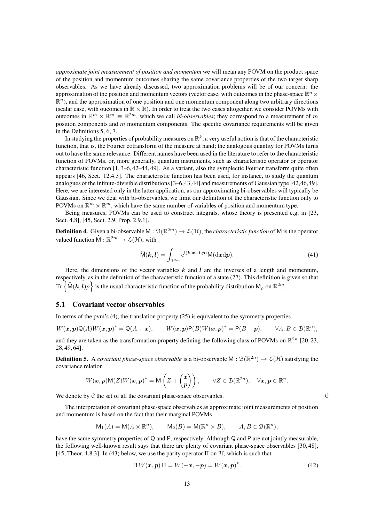*approximate joint measurement of position and momentum* we will mean any POVM on the product space of the position and momentum outcomes sharing the same covariance properties of the two target sharp observables. As we have already discussed, two approximation problems will be of our concern: the approximation of the position and momentum vectors (vector case, with outcomes in the phase-space  $\mathbb{R}^n$   $\times$  $\mathbb{R}^n$ ), and the approximation of one position and one momentum component along two arbitrary directions (scalar case, with oucomes in  $\mathbb{R} \times \mathbb{R}$ ). In order to treat the two cases altogether, we consider POVMs with outcomes in  $\mathbb{R}^m \times \mathbb{R}^m \equiv \mathbb{R}^{2m}$ , which we call *bi-observables*; they correspond to a measurement of m position components and  $m$  momentum components. The specific covariance requirements will be given in the Definitions 5, 6, 7.

In studying the properties of probability measures on  $\mathbb{R}^k$ , a very useful notion is that of the characteristic function, that is, the Fourier cotransform of the measure at hand; the analogous quantity for POVMs turns out to have the same relevance. Different names have been used in the literature to refer to the characteristic function of POVMs, or, more generally, quantum instruments, such as characteristic operator or operator characteristic function [1, 3–6, 42–44, 49]. As a variant, also the symplectic Fourier transform quite often appears [46, Sect. 12.4.3]. The characteristic function has been used, for instance, to study the quantum analogues of the infinite-divisible distributions [3–6,43,44] and measurements of Gaussian type [42,46,49]. Here, we are interested only in the latter application, as our approximating bi-observables will typically be Gaussian. Since we deal with bi-observables, we limit our definition of the characteristic function only to POVMs on  $\mathbb{R}^m \times \mathbb{R}^m$ , which have the same number of variables of position and momentum type.

Being measures, POVMs can be used to construct integrals, whose theory is presented e.g. in [23, Sect. 4.8], [45, Sect. 2.9, Prop. 2.9.1].

**Definition 4.** Given a bi-observable M :  $\mathcal{B}(\mathbb{R}^{2m}) \to \mathcal{L}(\mathcal{H})$ , the *characteristic function* of M is the operator valued function  $\widehat{M} : \mathbb{R}^{2m} \to \mathcal{L}(\mathcal{H})$ , with

$$
\widehat{\mathsf{M}}(\mathbf{k}, \mathbf{l}) = \int_{\mathbb{R}^{2m}} \mathrm{e}^{\mathrm{i}(\mathbf{k} \cdot \mathbf{x} + \mathbf{l} \cdot \mathbf{p})} \mathsf{M}(\mathrm{d} \mathbf{x} \mathrm{d} \mathbf{p}).\tag{41}
$$

Here, the dimensions of the vector variables  $k$  and  $l$  are the inverses of a length and momentum, respectively, as in the definition of the characteristic function of a state (27). This definition is given so that  $\text{Tr}\left\{\widehat{M}(\boldsymbol{k},\boldsymbol{l})\rho\right\}$  is the usual characteristic function of the probability distribution  $M_{\rho}$  on  $\mathbb{R}^{2m}$ .

## 5.1 Covariant vector observables

In terms of the pvm's  $(4)$ , the translation property  $(25)$  is equivalent to the symmetry properties

$$
W(\boldsymbol{x},\boldsymbol{p})\mathsf{Q}(A)W(\boldsymbol{x},\boldsymbol{p})^*=\mathsf{Q}(A+\boldsymbol{x}),\qquad W(\boldsymbol{x},\boldsymbol{p})\mathsf{P}(B)W(\boldsymbol{x},\boldsymbol{p})^*=\mathsf{P}(B+\boldsymbol{p}),\qquad\forall A,B\in\mathfrak{B}(\mathbb{R}^n),
$$

and they are taken as the transformation property defining the following class of POVMs on  $\mathbb{R}^{2n}$  [20, 23, 28, 49, 64].

**Definition 5.** A *covariant phase-space observable* is a bi-observable  $M : \mathcal{B}(\mathbb{R}^{2n}) \to \mathcal{L}(\mathcal{H})$  satisfying the covariance relation

$$
W(\boldsymbol{x},\boldsymbol{p})\mathsf{M}(Z)W(\boldsymbol{x},\boldsymbol{p})^*=\mathsf{M}\left(Z+\begin{pmatrix}\boldsymbol{x}\\ \boldsymbol{p}\end{pmatrix}\right),\qquad\forall Z\in\mathfrak{B}(\mathbb{R}^{2n}),\quad\forall\boldsymbol{x},\boldsymbol{p}\in\mathbb{R}^n.
$$

We denote by  $C$  the set of all the covariant phase-space observables.  $C$ 

The interpretation of covariant phase-space observables as approximate joint measurements of position and momentum is based on the fact that their marginal POVMs

$$
\mathsf{M}_1(A)=\mathsf{M}(A\times \mathbb{R}^n),\qquad \mathsf{M}_2(B)=\mathsf{M}(\mathbb{R}^n\times B),\qquad A,B\in \mathcal{B}(\mathbb{R}^n),
$$

have the same symmetry properties of Q and P, respectively. Although Q and P are not jointly measurable, the following well-known result says that there are plenty of covariant phase-space observables [30, 48], [45, Theor. 4.8.3]. In (43) below, we use the parity operator  $\Pi$  on  $H$ , which is such that

$$
\Pi W(\boldsymbol{x}, \boldsymbol{p}) \Pi = W(-\boldsymbol{x}, -\boldsymbol{p}) = W(\boldsymbol{x}, \boldsymbol{p})^*.
$$
\n(42)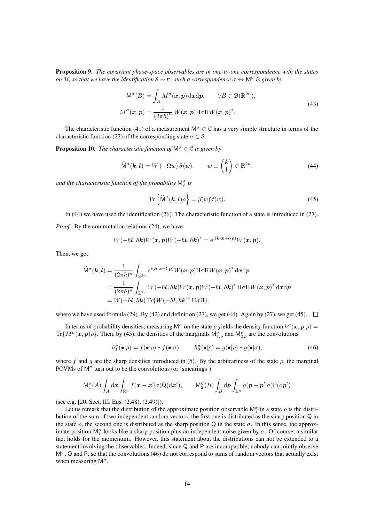Proposition 9. *The covariant phase-space observables are in one-to-one correspondence with the states on* <sup>H</sup>*, so that we have the identification* <sup>S</sup> <sup>∼</sup> <sup>C</sup>*; such a correspondence* <sup>σ</sup> <sup>↔</sup> <sup>M</sup><sup>σ</sup> *is given by*

$$
M^{\sigma}(B) = \int_{B} M^{\sigma}(x, p) dxdp, \qquad \forall B \in \mathcal{B}(\mathbb{R}^{2n}),
$$

$$
M^{\sigma}(x, p) = \frac{1}{(2\pi\hbar)^{n}} W(x, p) \Pi \sigma \Pi W(x, p)^{*}.
$$
(43)

The characteristic function (41) of a measurement  $M^{\sigma} \in \mathcal{C}$  has a very simple structure in terms of the characteristic function (27) of the corresponding state  $\sigma \in \mathcal{S}$ .

**Proposition 10.** *The characteristic function of*  $M^{\sigma} \in \mathcal{C}$  *is given by* 

$$
\widehat{\mathsf{M}}^{\sigma}(\mathbf{k}, \mathbf{l}) = W(-\Omega w) \widehat{\sigma}(w), \qquad w \equiv \binom{\mathbf{k}}{\mathbf{l}} \in \mathbb{R}^{2n}, \tag{44}
$$

and the characteristic function of the probability  $\mathsf{M}^{\sigma}_{\rho}$  is

$$
\operatorname{Tr}\left\{\widehat{\mathsf{M}}^{\sigma}(\mathbf{k},\mathbf{l})\rho\right\}=\widehat{\rho}(w)\widehat{\sigma}(w). \tag{45}
$$

In (44) we have used the identification (26). The characteristic function of a state is introduced in (27).

*Proof.* By the commutation relations (24), we have

$$
W(-\hbar\mathbf{l},\hbar\mathbf{k})W(\mathbf{x},\mathbf{p})W(-\hbar\mathbf{l},\hbar\mathbf{k})^*=\mathrm{e}^{i(\mathbf{k}\cdot\mathbf{x}+\mathbf{l}\cdot\mathbf{p})}W(\mathbf{x},\mathbf{p}).
$$

Then, we get

$$
\widehat{\mathsf{M}}^{\sigma}(\mathbf{k},\mathbf{l}) = \frac{1}{(2\pi\hbar)^n} \int_{\mathbb{R}^{2n}} e^{i(\mathbf{k}\cdot\mathbf{x}+\mathbf{l}\cdot\mathbf{p})} W(\mathbf{x},\mathbf{p}) \Pi \sigma \Pi W(\mathbf{x},\mathbf{p})^* \, \mathrm{d}\mathbf{x} \mathrm{d}\mathbf{p}
$$
\n
$$
= \frac{1}{(2\pi\hbar)^n} \int_{\mathbb{R}^{2n}} W(-\hbar \mathbf{l}, \hbar \mathbf{k}) W(\mathbf{x},\mathbf{p}) W(-\hbar \mathbf{l}, \hbar \mathbf{k})^* \Pi \sigma \Pi W(\mathbf{x},\mathbf{p})^* \, \mathrm{d}\mathbf{x} \mathrm{d}\mathbf{p}
$$
\n
$$
= W(-\hbar \mathbf{l}, \hbar \mathbf{k}) \operatorname{Tr}\{W(-\hbar \mathbf{l}, \hbar \mathbf{k})^* \Pi \sigma \Pi\},
$$

where we have used formula (29). By (42) and definition (27), we get (44). Again by (27), we get (45).  $\Box$ 

In terms of probability densities, measuring  $M^{\sigma}$  on the state  $\rho$  yields the density function  $h^{\sigma}(x, p|\rho) =$ Tr $\{M^\sigma(\bm{x},\bm{p})\rho\}$ . Then, by (45), the densities of the marginals  $M^\sigma_{1,\rho}$  and  $M^\sigma_{2,\rho}$  are the convolutions

$$
h_1^{\sigma}(\bullet|\rho) = f(\bullet|\rho) * f(\bullet|\sigma), \qquad h_2^{\sigma}(\bullet|\rho) = g(\bullet|\rho) * g(\bullet|\sigma), \tag{46}
$$

where f and g are the sharp densities introduced in (5). By the arbitrariness of the state  $\rho$ , the marginal POVMs of  $M^{\sigma}$  turn out to be the convolutions (or 'smearings')

$$
\mathsf{M}^{\sigma}_1(A) \int_A \mathrm{d}\boldsymbol{x} \int_{\mathbb{R}^n} f(\boldsymbol{x} - \boldsymbol{x}' | \sigma) \mathsf{Q}(\mathrm{d}\boldsymbol{x}'), \qquad \mathsf{M}^{\sigma}_2(B) \int_B \mathrm{d}\boldsymbol{p} \int_{\mathbb{R}^n} g(\boldsymbol{p} - \boldsymbol{p}' | \sigma) \mathsf{P}(\mathrm{d}\boldsymbol{p}')
$$

(see e.g. [20, Sect. III, Eqs. (2.48), (2.49)]).

Let us remark that the distribution of the approximate position observable  $M_1^{\sigma}$  in a state  $\rho$  is the distribution of the sum of two independent random vectors: the first one is distributed as the sharp position Q in the state  $\rho$ , the second one is distributed as the sharp position Q in the state  $\sigma$ . In this sense, the approximate position  $M_1^{\sigma}$  looks like a sharp position plus an independent noise given by  $\sigma$ . Of course, a similar fact holds for the momentum. However, this statement about the distributions can not be extended to a statement involving the observables. Indeed, since Q and P are incompatible, nobody can jointly observe  $M^{\sigma}$ , Q and P, so that the convolutions (46) do not correspond to sums of random vectors that actually exist when measuring  $M^{\sigma}$ .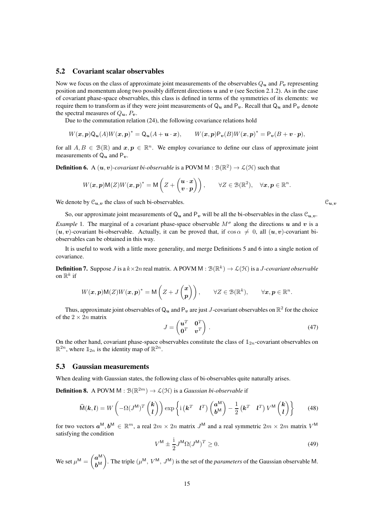### 5.2 Covariant scalar observables

Now we focus on the class of approximate joint measurements of the observables  $Q_u$  and  $P_v$  representing position and momentum along two possibly different directions  $u$  and  $v$  (see Section 2.1.2). As in the case of covariant phase-space observables, this class is defined in terms of the symmetries of its elements: we require them to transform as if they were joint measurements of  $Q_u$  and  $P_v$ . Recall that  $Q_u$  and  $P_v$  denote the spectral measures of  $Q_{u}$ ,  $P_{v}$ .

Due to the commutation relation (24), the following covariance relations hold

$$
W(\boldsymbol{x},\boldsymbol{p})\mathsf{Q}_{\boldsymbol{u}}(A)W(\boldsymbol{x},\boldsymbol{p})^*=\mathsf{Q}_{\boldsymbol{u}}(A+\boldsymbol{u}\cdot\boldsymbol{x}),\qquad W(\boldsymbol{x},\boldsymbol{p})\mathsf{P}_{\boldsymbol{v}}(B)W(\boldsymbol{x},\boldsymbol{p})^*=\mathsf{P}_{\boldsymbol{v}}(B+\boldsymbol{v}\cdot\boldsymbol{p}),
$$

for all  $A, B \in \mathcal{B}(\mathbb{R})$  and  $x, p \in \mathbb{R}^n$ . We employ covariance to define our class of approximate joint measurements of  $Q_u$  and  $P_v$ .

**Definition 6.** A  $(u, v)$ -covariant bi-observable is a POVM  $M : \mathcal{B}(\mathbb{R}^2) \to \mathcal{L}(\mathcal{H})$  such that

$$
W(\boldsymbol{x},\boldsymbol{p})\mathsf{M}(Z)W(\boldsymbol{x},\boldsymbol{p})^*=\mathsf{M}\left(Z+\begin{pmatrix}\boldsymbol{u}\cdot\boldsymbol{x}\\ \boldsymbol{v}\cdot\boldsymbol{p}\end{pmatrix}\right),\qquad\forall Z\in\mathcal{B}(\mathbb{R}^2),\quad\forall\boldsymbol{x},\boldsymbol{p}\in\mathbb{R}^n.
$$

We denote by  $\mathcal{C}_{u,v}$  the class of such bi-observables.  $\mathcal{C}_{u,v}$ 

So, our approximate joint measurements of  $Q_u$  and  $P_v$  will be all the bi-observables in the class  $\mathcal{C}_{u,v}$ .

*Example* 1. The marginal of a covariant phase-space observable  $M^{\sigma}$  along the directions u and v is a  $(u, v)$ -covariant bi-observable. Actually, it can be proved that, if  $\cos \alpha \neq 0$ , all  $(u, v)$ -covariant biobservables can be obtained in this way.

It is useful to work with a little more generality, and merge Definitions 5 and 6 into a single notion of covariance.

**Definition 7.** Suppose J is a  $k \times 2n$  real matrix. A POVM M :  $\mathcal{B}(\mathbb{R}^k) \to \mathcal{L}(\mathcal{H})$  is a J-covariant observable on  $\mathbb{R}^k$  if

$$
W(\boldsymbol{x},\boldsymbol{p})\mathsf{M}(Z)W(\boldsymbol{x},\boldsymbol{p})^*=\mathsf{M}\left(Z+J\begin{pmatrix}\boldsymbol{x}\\ \boldsymbol{p}\end{pmatrix}\right),\qquad\forall Z\in\mathfrak{B}(\mathbb{R}^k),\qquad\forall\boldsymbol{x},\boldsymbol{p}\in\mathbb{R}^n.
$$

Thus, approximate joint observables of  $\mathsf{Q}_u$  and  $\mathsf{P}_v$  are just  $J$ -covariant observables on  $\mathbb{R}^2$  for the choice of the  $2 \times 2n$  matrix

$$
J = \begin{pmatrix} \mathbf{u}^T & \mathbf{0}^T \\ \mathbf{0}^T & \mathbf{v}^T \end{pmatrix} . \tag{47}
$$

On the other hand, covariant phase-space observables constitute the class of  $\mathbb{1}_{2n}$ -covariant observables on  $\mathbb{R}^{2n}$ , where  $\mathbb{1}_{2n}$  is the identity map of  $\mathbb{R}^{2n}$ .

## 5.3 Gaussian measurements

When dealing with Gaussian states, the following class of bi-observables quite naturally arises.

**Definition 8.** A POVM  $M : \mathcal{B}(\mathbb{R}^{2m}) \to \mathcal{L}(\mathcal{H})$  is a *Gaussian bi-observable* if

$$
\widehat{\mathsf{M}}(\mathbf{k}, \mathbf{l}) = W\left(-\Omega(J^{\mathsf{M}})^{T}\begin{pmatrix} \mathbf{k} \\ \mathbf{l} \end{pmatrix}\right) \exp\left\{\mathrm{i}\left(\mathbf{k}^{T} \quad \mathbf{l}^{T}\right)\begin{pmatrix} \mathbf{a}^{\mathsf{M}} \\ \mathbf{b}^{\mathsf{M}} \end{pmatrix} - \frac{1}{2}\begin{pmatrix} \mathbf{k}^{T} & \mathbf{l}^{T} \end{pmatrix} V^{\mathsf{M}}\begin{pmatrix} \mathbf{k} \\ \mathbf{l} \end{pmatrix}\right\}
$$
(48)

for two vectors  $a^M, b^M \in \mathbb{R}^m$ , a real  $2m \times 2n$  matrix  $J^M$  and a real symmetric  $2m \times 2m$  matrix  $V^M$ satisfying the condition

$$
V^{\mathsf{M}} \pm \frac{\mathrm{i}}{2} J^{\mathsf{M}} \Omega (J^{\mathsf{M}})^{T} \ge 0. \tag{49}
$$

We set  $\mu^{\mathsf{M}} = \begin{pmatrix} a^{\mathsf{M}} \\ b^{\mathsf{M}} \end{pmatrix}$  $b^{\mathsf{M}}$  $\setminus$ . The triple  $(\mu^M, V^M, J^M)$  is the set of the *parameters* of the Gaussian observable M.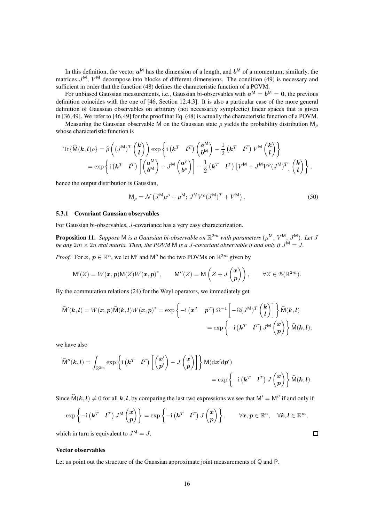In this definition, the vector  $a^M$  has the dimension of a length, and  $b^M$  of a momentum; similarly, the matrices  $J^{\text{M}}$ ,  $V^{\text{M}}$  decompose into blocks of different dimensions. The condition (49) is necessary and sufficient in order that the function (48) defines the characteristic function of a POVM.

For unbiased Gaussian measurements, i.e., Gaussian bi-observables with  $a^M = b^M = 0$ , the previous definition coincides with the one of [46, Section 12.4.3]. It is also a particular case of the more general definition of Gaussian observables on arbitrary (not necessarily symplectic) linear spaces that is given in [36,49]. We refer to [46,49] for the proof that Eq. (48) is actually the characteristic function of a POVM.

Measuring the Gaussian observable M on the Gaussian state  $\rho$  yields the probability distribution M<sub>ρ</sub> whose characteristic function is

$$
\mathrm{Tr}\{\widehat{\mathsf{M}}(\mathbf{k},\mathbf{l})\rho\} = \widehat{\rho}\left((J^{\mathsf{M}})^{T}\begin{pmatrix}\mathbf{k}\\ \mathbf{l}\end{pmatrix}\right)\exp\left\{\mathrm{i}\left(\mathbf{k}^{T} \quad \mathbf{l}^{T}\right)\begin{pmatrix}\mathbf{a}^{\mathsf{M}}\\ \mathbf{b}^{\mathsf{M}}\end{pmatrix} - \frac{1}{2}\begin{pmatrix}\mathbf{k}^{T} \quad \mathbf{l}^{T}\end{pmatrix}V^{\mathsf{M}}\begin{pmatrix}\mathbf{k}\\ \mathbf{l}\end{pmatrix}\right\} \n= \exp\left\{\mathrm{i}\left(\mathbf{k}^{T} \quad \mathbf{l}^{T}\right)\left[\begin{pmatrix}\mathbf{a}^{\mathsf{M}}\\ \mathbf{b}^{\mathsf{M}}\end{pmatrix} + J^{\mathsf{M}}\begin{pmatrix}\mathbf{a}^{\rho}\\ \mathbf{b}^{\rho}\end{pmatrix}\right] - \frac{1}{2}\begin{pmatrix}\mathbf{k}^{T} \quad \mathbf{l}^{T}\end{pmatrix}\begin{bmatrix}V^{\mathsf{M}} + J^{\mathsf{M}}V^{\rho}(J^{\mathsf{M}})^{T}\end{bmatrix}\begin{pmatrix}\mathbf{k}\\ \mathbf{l}\end{pmatrix}\right\};
$$

hence the output distribution is Gaussian,

$$
\mathsf{M}_{\rho} = \mathcal{N} \left( J^{\mathsf{M}} \mu^{\rho} + \mu^{\mathsf{M}}; \, J^{\mathsf{M}} V^{\rho} (J^{\mathsf{M}})^{T} + V^{\mathsf{M}} \right). \tag{50}
$$

#### 5.3.1 Covariant Gaussian observables

For Gaussian bi-observables, J-covariance has a very easy characterization.

**Proposition 11.** Suppose M is a Gaussian bi-observable on  $\mathbb{R}^{2m}$  with parameters  $(\mu^{\mathsf{M}}, V^{\mathsf{M}}, J^{\mathsf{M}})$ . Let J *be any*  $2m \times 2n$  *real matrix. Then, the POVM* M *is a J-covariant observable if and only if*  $J^{\mathsf{M}} = J$ .

*Proof.* For  $x, p \in \mathbb{R}^n$ , we let M' and M'' be the two POVMs on  $\mathbb{R}^{2m}$  given by

$$
\mathsf{M}'(Z) = W(\mathbf{x}, \mathbf{p})\mathsf{M}(Z)W(\mathbf{x}, \mathbf{p})^*, \qquad \mathsf{M}''(Z) = \mathsf{M}\left(Z + J\begin{pmatrix} \mathbf{x} \\ \mathbf{p} \end{pmatrix}\right), \qquad \forall Z \in \mathcal{B}(\mathbb{R}^{2m}).
$$

By the commutation relations (24) for the Weyl operators, we immediately get

$$
\widehat{\mathsf{M}}'(\mathbf{k}, \mathbf{l}) = W(\mathbf{x}, \mathbf{p}) \widehat{\mathsf{M}}(\mathbf{k}, \mathbf{l}) W(\mathbf{x}, \mathbf{p})^* = \exp \left\{ -\mathrm{i} \begin{pmatrix} \mathbf{x}^T & \mathbf{p}^T \end{pmatrix} \Omega^{-1} \begin{bmatrix} -\Omega (J^{\mathsf{M}})^T \begin{pmatrix} \mathbf{k} \\ \mathbf{l} \end{pmatrix} \end{bmatrix} \right\} \widehat{\mathsf{M}}(\mathbf{k}, \mathbf{l})
$$

$$
= \exp \left\{ -\mathrm{i} \begin{pmatrix} \mathbf{k}^T & \mathbf{l}^T \end{pmatrix} J^{\mathsf{M}} \begin{pmatrix} \mathbf{x} \\ \mathbf{p} \end{pmatrix} \right\} \widehat{\mathsf{M}}(\mathbf{k}, \mathbf{l});
$$

we have also

$$
\hat{\mathsf{M}}''(\mathbf{k}, \mathbf{l}) = \int_{\mathbb{R}^{2m}} \exp \left\{ \mathrm{i} \left( \mathbf{k}^T \quad \mathbf{l}^T \right) \left[ \begin{pmatrix} \mathbf{x}' \\ \mathbf{p}' \end{pmatrix} - J \begin{pmatrix} \mathbf{x} \\ \mathbf{p} \end{pmatrix} \right] \right\} \mathsf{M}(\mathrm{d}\mathbf{x}' \mathrm{d}\mathbf{p}') = \exp \left\{ -\mathrm{i} \left( \mathbf{k}^T \quad \mathbf{l}^T \right) J \begin{pmatrix} \mathbf{x} \\ \mathbf{p} \end{pmatrix} \right\} \hat{\mathsf{M}}(\mathbf{k}, \mathbf{l}).
$$

Since  $\widehat{M}(k,l) \neq 0$  for all k, l, by comparing the last two expressions we see that  $M' = M''$  if and only if

$$
\exp\left\{-\mathrm{i}\left(\boldsymbol{k}^T \quad \boldsymbol{l}^T\right) J^{\mathrm{M}}\begin{pmatrix} \boldsymbol{x} \\ \boldsymbol{p} \end{pmatrix}\right\} = \exp\left\{-\mathrm{i}\left(\boldsymbol{k}^T \quad \boldsymbol{l}^T\right) J\begin{pmatrix} \boldsymbol{x} \\ \boldsymbol{p} \end{pmatrix}\right\}, \qquad \forall \boldsymbol{x}, \boldsymbol{p} \in \mathbb{R}^n, \quad \forall \boldsymbol{k}, \boldsymbol{l} \in \mathbb{R}^m,
$$

 $\Box$ 

which in turn is equivalent to  $J^{\mathsf{M}} = J$ .

#### Vector observables

Let us point out the structure of the Gaussian approximate joint measurements of Q and P.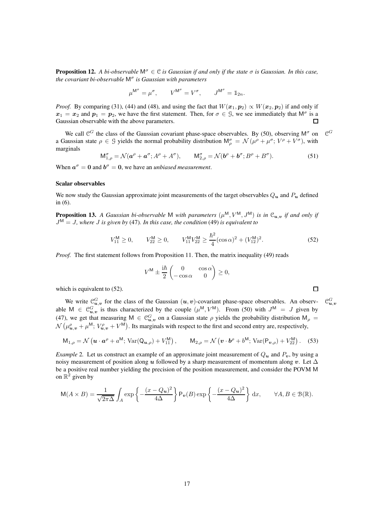**Proposition 12.** *A bi-observable*  $M^{\sigma} \in \mathcal{C}$  *is Gaussian if and only if the state*  $\sigma$  *is Gaussian. In this case, the covariant bi-observable* M<sup>σ</sup> *is Gaussian with parameters*

$$
\mu^{\mathsf{M}^{\sigma}}=\mu^{\sigma},\qquad V^{\mathsf{M}^{\sigma}}=V^{\sigma},\qquad J^{\mathsf{M}^{\sigma}}=\mathbbm{1}_{2n}.
$$

*Proof.* By comparing (31), (44) and (48), and using the fact that  $W(x_1, p_2) \propto W(x_2, p_2)$  if and only if  $x_1 = x_2$  and  $p_1 = p_2$ , we have the first statement. Then, for  $\sigma \in \mathcal{G}$ , we see immediately that  $\mathsf{M}^{\sigma}$  is a Gaussian observable with the above parameters.  $\Box$ 

We call  $\mathcal{C}^G$  the class of the Gaussian covariant phase-space observables. By (50), observing  $\mathsf{M}^\sigma$  on  $\mathcal C$  $\mathcal{C}^G$ a Gaussian state  $\rho \in \mathcal{G}$  yields the normal probability distribution  $M_\rho^\sigma = \mathcal{N}(\mu^\rho + \mu^\sigma; V^\rho + V^\sigma)$ , with marginals

$$
M_{1,\rho}^{\sigma} = \mathcal{N}(\boldsymbol{a}^{\rho} + \boldsymbol{a}^{\sigma}; A^{\rho} + A^{\sigma}), \qquad M_{2,\rho}^{\sigma} = \mathcal{N}(\boldsymbol{b}^{\rho} + \boldsymbol{b}^{\sigma}; B^{\rho} + B^{\sigma}). \tag{51}
$$

When  $a^{\sigma} = 0$  and  $b^{\sigma} = 0$ , we have an *unbiased measurement*.

#### Scalar observables

We now study the Gaussian approximate joint measurements of the target observables  $Q_u$  and  $P_u$  defined  $in (6)$ .

**Proposition 13.** A Gaussian bi-observable M with parameters  $(\mu^M, V^M, J^M)$  is in  $\mathcal{C}_{u,v}$  if and only if J <sup>M</sup> = J*, where* J *is given by* (47)*. In this case, the condition* (49) *is equivalent to*

$$
V_{11}^{\mathsf{M}} \ge 0, \qquad V_{22}^{\mathsf{M}} \ge 0, \qquad V_{11}^{\mathsf{M}} V_{22}^{\mathsf{M}} \ge \frac{\hbar^2}{4} (\cos \alpha)^2 + (V_{12}^{\mathsf{M}})^2. \tag{52}
$$

*Proof.* The first statement follows from Proposition 11. Then, the matrix inequality (49) reads

$$
V^{\mathsf{M}} \pm \frac{\mathrm{i}\hbar}{2} \begin{pmatrix} 0 & \cos \alpha \\ -\cos \alpha & 0 \end{pmatrix} \geq 0,
$$

which is equivalent to  $(52)$ .

We write  $\mathcal{C}_{u,v}^G$  for the class of the Gaussian  $(u, v)$ -covariant phase-space observables. An observ-  $\mathcal{C}$ able  $M \in \mathcal{C}_{u,v}^G$  is thus characterized by the couple  $(\mu^M, V^M)$ . From (50) with  $J^M = J$  given by (47), we get that measuring  $M \in \mathcal{C}_{u,v}^G$  on a Gaussian state  $\rho$  yields the probability distribution  $M_\rho =$  $\mathcal{N} \left( \mu_{\bm{u},\bm{v}}^{\rho} + \mu^{\mathsf{M}}; V_{\bm{u},\bm{v}}^{\rho} + V^{\mathsf{M}} \right)$ . Its marginals with respect to the first and second entry are, respectively,

$$
M_{1,\rho} = \mathcal{N}\left(\mathbf{u} \cdot \mathbf{a}^{\rho} + a^{\mathsf{M}}; \operatorname{Var}(Q_{\mathbf{u},\rho}) + V_{11}^{\mathsf{M}}\right), \qquad M_{2,\rho} = \mathcal{N}\left(\mathbf{v} \cdot \mathbf{b}^{\rho} + b^{\mathsf{M}}; \operatorname{Var}(P_{\mathbf{v},\rho}) + V_{22}^{\mathsf{M}}\right). \tag{53}
$$

*Example* 2. Let us construct an example of an approximate joint measurement of  $Q_u$  and  $P_v$ , by using a noisy measurement of position along u followed by a sharp measurement of momentum along v. Let  $\Delta$ be a positive real number yielding the precision of the position measurement, and consider the POVM M on  $\mathbb{R}^2$  given by

$$
\mathsf{M}(A \times B) = \frac{1}{\sqrt{2\pi\Delta}} \int_A \exp\left\{-\frac{(x - Q_u)^2}{4\Delta}\right\} \mathsf{P}_v(B) \exp\left\{-\frac{(x - Q_u)^2}{4\Delta}\right\} dx, \qquad \forall A, B \in \mathcal{B}(\mathbb{R}).
$$

 $\Box$ 

 $_{\boldsymbol{u},\boldsymbol{v}}^G$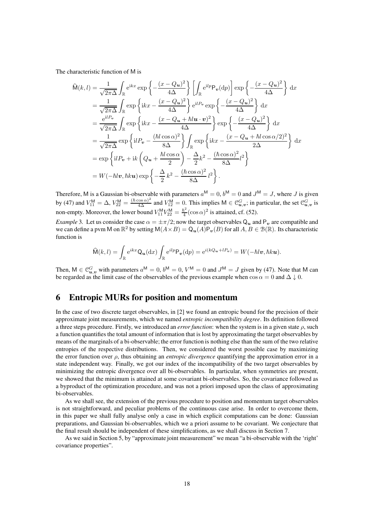The characteristic function of M is

$$
\widehat{\mathsf{M}}(k,l) = \frac{1}{\sqrt{2\pi\Delta}} \int_{\mathbb{R}} e^{ikx} \exp\left\{-\frac{(x - Q_u)^2}{4\Delta}\right\} \left[\int_{\mathbb{R}} e^{ilp} \mathsf{P}_{\mathbf{v}}(\mathrm{d}p)\right] \exp\left\{-\frac{(x - Q_u)^2}{4\Delta}\right\} \mathrm{d}x \n= \frac{1}{\sqrt{2\pi\Delta}} \int_{\mathbb{R}} \exp\left\{ikx - \frac{(x - Q_u)^2}{4\Delta}\right\} e^{ilP_v} \exp\left\{-\frac{(x - Q_u)^2}{4\Delta}\right\} \mathrm{d}x \n= \frac{e^{ilP_v}}{\sqrt{2\pi\Delta}} \int_{\mathbb{R}} \exp\left\{ikx - \frac{(x - Q_u + \hbar l u \cdot v)^2}{4\Delta}\right\} \exp\left\{-\frac{(x - Q_u)^2}{4\Delta}\right\} \mathrm{d}x \n= \frac{1}{\sqrt{2\pi\Delta}} \exp\left\{ilP_v - \frac{(\hbar l \cos \alpha)^2}{8\Delta}\right\} \int_{\mathbb{R}} \exp\left\{ikx - \frac{(x - Q_u + \hbar l \cos \alpha/2)^2}{2\Delta}\right\} \mathrm{d}x \n= \exp\left\{ilP_v + ik\left(Q_u + \frac{\hbar l \cos \alpha}{2}\right) - \frac{\Delta}{2}k^2 - \frac{(\hbar \cos \alpha)^2}{8\Delta}l^2\right\} \n= W(-\hbar l v, \hbar k u) \exp\left\{-\frac{\Delta}{2}k^2 - \frac{(\hbar \cos \alpha)^2}{8\Delta}l^2\right\}.
$$

Therefore, M is a Gaussian bi-observable with parameters  $a^M = 0$ ,  $b^M = 0$  and  $J^M = J$ , where J is given by (47) and  $V_{11}^M = \Delta$ ,  $V_{22}^M = \frac{(\hbar \cos \alpha)^2}{4\Delta}$  and  $V_{12}^M = 0$ . This implies  $M \in \mathcal{C}_{\mathbf{u},\mathbf{v}}^G$ ; in particular, the set  $\mathcal{C}_{\mathbf{u},\mathbf{v}}^G$  is non-empty. Moreover, the lower bound  $V_{11}^{\text{M}}V_{22}^{\text{M}} = \frac{\hbar}{4}$  $\frac{\hbar^2}{4}$  (cos  $\alpha$ )<sup>2</sup> is attained, cf. (52).

*Example* 3. Let us consider the case  $\alpha = \pm \pi/2$ ; now the target observables  $Q_u$  and  $P_v$  are compatible and we can define a pvm M on  $\mathbb{R}^2$  by setting  $M(A \times B) = Q_u(A)P_v(B)$  for all  $A, B \in \mathcal{B}(\mathbb{R})$ . Its characteristic function is

$$
\widehat{\mathsf{M}}(k,l) = \int_{\mathbb{R}} e^{ikx} \mathsf{Q}_{\mathbf{u}}(\mathrm{d}x) \int_{\mathbb{R}} e^{ilp} \mathsf{P}_{\mathbf{v}}(\mathrm{d}p) = e^{i(kQ_{\mathbf{u}} + lP_{\mathbf{v}})} = W(-\hbar l\mathbf{v}, \hbar k\mathbf{u}).
$$

Then,  $M \in \mathcal{C}_{u,v}^G$  with parameters  $a^M = 0$ ,  $b^M = 0$ ,  $V^M = 0$  and  $J^M = J$  given by (47). Note that M can be regarded as the limit case of the observables of the previous example when  $\cos \alpha = 0$  and  $\Delta \downarrow 0$ .

## 6 Entropic MURs for position and momentum

In the case of two discrete target observables, in [2] we found an entropic bound for the precision of their approximate joint measurements, which we named *entropic incompatibility degree*. Its definition followed a three steps procedure. Firstly, we introduced an *error function*: when the system is in a given state  $\rho$ , such a function quantifies the total amount of information that is lost by approximating the target observables by means of the marginals of a bi-observable; the error function is nothing else than the sum of the two relative entropies of the respective distributions. Then, we considered the worst possible case by maximizing the error function over ρ, thus obtaining an *entropic divergence* quantifying the approximation error in a state independent way. Finally, we got our index of the incompatibility of the two target observables by minimizing the entropic divergence over all bi-observables. In particular, when symmetries are present, we showed that the minimum is attained at some covariant bi-observables. So, the covariance followed as a byproduct of the optimization procedure, and was not a priori imposed upon the class of approximating bi-observables.

As we shall see, the extension of the previous procedure to position and momentum target observables is not straightforward, and peculiar problems of the continuous case arise. In order to overcome them, in this paper we shall fully analyse only a case in which explicit computations can be done: Gaussian preparations, and Gaussian bi-observables, which we a priori assume to be covariant. We conjecture that the final result should be independent of these simplifications, as we shall discuss in Section 7.

As we said in Section 5, by "approximate joint measurement" we mean "a bi-observable with the 'right' covariance properties".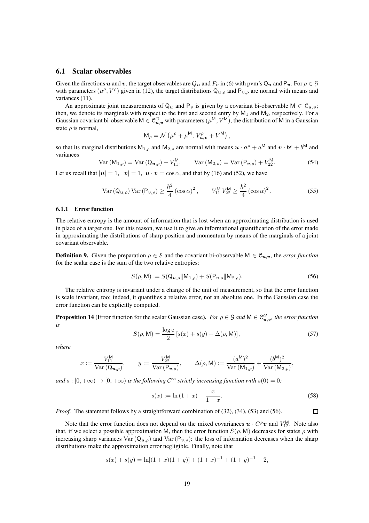### 6.1 Scalar observables

Given the directions u and v, the target observables are  $Q_u$  and  $P_v$  in (6) with pvm's  $Q_u$  and  $P_v$ . For  $\rho \in \mathcal{G}$ with parameters  $(\mu^{\rho}, V^{\rho})$  given in (12), the target distributions  $Q_{u,\rho}$  and  $P_{v,\rho}$  are normal with means and variances (11).

An approximate joint measurements of  $Q_u$  and  $P_v$  is given by a covariant bi-observable  $M \in \mathcal{C}_{u,v}$ ; then, we denote its marginals with respect to the first and second entry by  $M_1$  and  $M_2$ , respectively. For a Gaussian covariant bi-observable  $M \in \mathcal{C}_{u,v}^G$  with parameters  $(\mu^M, V^M)$ , the distribution of M in a Gaussian state  $\rho$  is normal,

$$
\mathsf{M}_{\rho}=\mathcal{N}\left(\mu^{\rho}+\mu^{\mathsf{M}};V_{\boldsymbol{u},\boldsymbol{v}}^{\rho}+V^{\mathsf{M}}\right),
$$

so that its marginal distributions  $M_{1,\rho}$  and  $M_{2,\rho}$  are normal with means  $u \cdot a^{\rho} + a^M$  and  $v \cdot b^{\rho} + b^M$  and variances

Var 
$$
(M_{1,\rho})
$$
 = Var  $(Q_{u,\rho})$  +  $V_{11}^{M}$ , Var  $(M_{2,\rho})$  = Var  $(P_{v,\rho})$  +  $V_{22}^{M}$ . (54)

Let us recall that  $|u| = 1$ ,  $|v| = 1$ ,  $u \cdot v = \cos \alpha$ , and that by (16) and (52), we have

$$
\text{Var}\left(\mathbf{Q}_{\boldsymbol{u},\rho}\right)\text{Var}\left(\mathbf{P}_{\boldsymbol{v},\rho}\right) \geq \frac{\hbar^2}{4}\left(\cos\alpha\right)^2, \qquad V_{11}^{\text{M}}\,V_{22}^{\text{M}} \geq \frac{\hbar^2}{4}\left(\cos\alpha\right)^2. \tag{55}
$$

#### 6.1.1 Error function

The relative entropy is the amount of information that is lost when an approximating distribution is used in place of a target one. For this reason, we use it to give an informational quantification of the error made in approximating the distributions of sharp position and momentum by means of the marginals of a joint covariant observable.

**Definition 9.** Given the preparation  $\rho \in \mathcal{S}$  and the covariant bi-observable  $M \in \mathcal{C}_{u,v}$ , the *error function* for the scalar case is the sum of the two relative entropies:

$$
S(\rho, \mathsf{M}) := S(\mathsf{Q}_{\boldsymbol{u},\rho}||\mathsf{M}_{1,\rho}) + S(\mathsf{P}_{\boldsymbol{v},\rho}||\mathsf{M}_{2,\rho}).
$$
\n
$$
(56)
$$

The relative entropy is invariant under a change of the unit of measurement, so that the error function is scale invariant, too; indeed, it quantifies a relative error, not an absolute one. In the Gaussian case the error function can be explicitly computed.

**Proposition 14** (Error function for the scalar Gaussian case). For  $\rho \in \mathcal{G}$  and  $M \in \mathcal{C}_{u,v}^G$ , the error function *is*

$$
S(\rho, \mathsf{M}) = \frac{\log e}{2} \left[ s(x) + s(y) + \Delta(\rho, \mathsf{M}) \right],\tag{57}
$$

*where*

$$
x:=\frac{V_{11}^{\mathsf{M}}}{\operatorname{Var}\left({\bf Q}_{\boldsymbol{u},\rho}\right)}, \qquad y:=\frac{V_{22}^{\mathsf{M}}}{\operatorname{Var}\left({\bf P}_{\boldsymbol{v},\rho}\right)}, \qquad \Delta(\rho,{\mathsf{M}}):=\frac{(a^{\mathsf{M}})^2}{\operatorname{Var}\left({\bf M}_{1,\rho}\right)}+\frac{(b^{\mathsf{M}})^2}{\operatorname{Var}\left({\bf M}_{2,\rho}\right)},
$$

*and*  $s : [0, +\infty) \to [0, +\infty)$  *is the following*  $C^{\infty}$  *strictly increasing function with*  $s(0) = 0$ *:* 

$$
s(x) := \ln(1+x) - \frac{x}{1+x}.\tag{58}
$$

 $\Box$ 

*Proof.* The statement follows by a straightforward combination of (32), (34), (53) and (56).

Note that the error function does not depend on the mixed covariances  $\mathbf{u} \cdot C^{\rho} \mathbf{v}$  and  $V_{12}^{M}$ . Note also that, if we select a possible approximation M, then the error function  $S(\rho, M)$  decreases for states  $\rho$  with increasing sharp variances Var  $(Q_{u,q})$  and Var  $(P_{u,q})$ : the loss of information decreases when the sharp distributions make the approximation error negligible. Finally, note that

$$
s(x) + s(y) = \ln[(1+x)(1+y)] + (1+x)^{-1} + (1+y)^{-1} - 2,
$$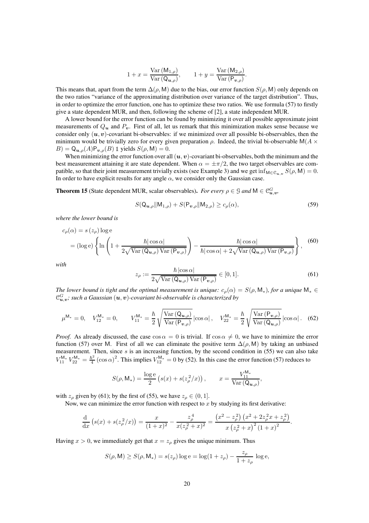$$
1 + x = \frac{\text{Var}(M_{1,\rho})}{\text{Var}(Q_{\boldsymbol{u},\rho})}, \qquad 1 + y = \frac{\text{Var}(M_{2,\rho})}{\text{Var}(P_{\boldsymbol{v},\rho})}.
$$

This means that, apart from the term  $\Delta(\rho, M)$  due to the bias, our error function  $S(\rho, M)$  only depends on the two ratios "variance of the approximating distribution over variance of the target distribution". Thus, in order to optimize the error function, one has to optimize these two ratios. We use formula (57) to firstly give a state dependent MUR, and then, following the scheme of [2], a state independent MUR.

A lower bound for the error function can be found by minimizing it over all possible approximate joint measurements of  $Q_u$  and  $P_v$ . First of all, let us remark that this minimization makes sense because we consider only  $(u, v)$ -covariant bi-observables: if we minimized over all possible bi-observables, then the minimum would be trivially zero for every given preparation  $\rho$ . Indeed, the trivial bi-observable M( $A \times$  $B$ ) = Q<sub>u,ρ</sub>(A)P<sub>v,ρ</sub>(B) 1 yields  $S(\rho, M) = 0$ .

When minimizing the error function over all  $(u, v)$ -covariant bi-observables, both the minimum and the best measurement attaining it are state dependent. When  $\alpha = \pm \pi/2$ , the two target observables are compatible, so that their joint measurement trivially exists (see Example 3) and we get  $\inf_{M \in \mathcal{C}_{u,v}} S(\rho, M) = 0$ . In order to have explicit results for any angle  $\alpha$ , we consider only the Gaussian case.

**Theorem 15** (State dependent MUR, scalar observables). *For every*  $\rho \in \mathcal{G}$  and  $M \in \mathcal{C}_{\mathbf{u},\mathbf{v}}^G$ ,

$$
S(\mathbf{Q}_{u,\rho}||\mathbf{M}_{1,\rho}) + S(\mathbf{P}_{v,\rho}||\mathbf{M}_{2,\rho}) \ge c_{\rho}(\alpha),\tag{59}
$$

*where the lower bound is*

$$
c_{\rho}(\alpha) = s(z_{\rho}) \log e
$$
  
=  $(\log e) \left\{ \ln \left( 1 + \frac{\hbar |\cos \alpha|}{2 \sqrt{\text{Var}(Q_{u,\rho}) \text{Var}(P_{v,\rho})}} \right) - \frac{\hbar |\cos \alpha|}{\hbar |\cos \alpha| + 2 \sqrt{\text{Var}(Q_{u,\rho}) \text{Var}(P_{v,\rho})}} \right\},$  (60)

*with*

$$
z_{\rho} := \frac{\hbar \left| \cos \alpha \right|}{2\sqrt{\text{Var}\left(\mathbf{Q}_{\boldsymbol{u},\rho}\right)\text{Var}\left(\mathbf{P}_{\boldsymbol{v},\rho}\right)}} \in [0,1].\tag{61}
$$

*The lower bound is tight and the optimal measurement is unique:*  $c_o(\alpha) = S(\rho, \mathsf{M}_*),$  *for a unique*  $\mathsf{M}_* \in$  $\mathfrak{C}_{\bm u,\bm v}^G$ ; such a Gaussian  $(\bm u,\bm v)$ -covariant bi-observable is characterized by

$$
\mu^{\mathsf{M}_{*}} = 0, \quad V_{12}^{\mathsf{M}_{*}} = 0, \qquad V_{11}^{\mathsf{M}_{*}} = \frac{\hbar}{2} \sqrt{\frac{\text{Var}\left(Q_{\mathbf{u},\rho}\right)}{\text{Var}\left(P_{\mathbf{v},\rho}\right)}} \left| \cos \alpha \right|, \quad V_{22}^{\mathsf{M}_{*}} = \frac{\hbar}{2} \sqrt{\frac{\text{Var}\left(P_{\mathbf{v},\rho}\right)}{\text{Var}\left(Q_{\mathbf{u},\rho}\right)}} \left| \cos \alpha \right|. \tag{62}
$$

*Proof.* As already discussed, the case  $\cos \alpha = 0$  is trivial. If  $\cos \alpha \neq 0$ , we have to minimize the error function (57) over M. First of all we can eliminate the positive term  $\Delta(\rho, M)$  by taking an unbiased measurement. Then, since  $s$  is an increasing function, by the second condition in (55) we can also take  $V_{11}^{\mathsf{M}_{*}} V_{22}^{\mathsf{M}_{*}} = \frac{\hbar^{2}}{4}$  $\frac{\hbar^2}{4}$  (cos  $\alpha$ )<sup>2</sup>. This implies  $V_{12}^{\mathsf{M}_{*}} = 0$  by (52). In this case the error function (57) reduces to

$$
S(\rho, \mathsf{M}_{*}) = \frac{\log e}{2} \left( s(x) + s(z_{\rho}^{2}/x) \right), \qquad x = \frac{V_{11}^{\mathsf{M}_{*}}}{\text{Var}\left(\mathsf{Q}_{\boldsymbol{u},\rho}\right)},
$$

with  $z_\rho$  given by (61); by the first of (55), we have  $z_\rho \in (0, 1]$ .

Now, we can minimize the error function with respect to  $x$  by studying its first derivative:

$$
\frac{\mathrm{d}}{\mathrm{d}x}\left(s(x) + s(z_{\rho}^{2}/x)\right) = \frac{x}{(1+x)^{2}} - \frac{z_{\rho}^{4}}{x(z_{\rho}^{2}+x)^{2}} = \frac{\left(x^{2} - z_{\rho}^{2}\right)\left(x^{2} + 2z_{\rho}^{2}x + z_{\rho}^{2}\right)}{x\left(z_{\rho}^{2}+x\right)^{2}\left(1+x\right)^{2}}.
$$

Having  $x > 0$ , we immediately get that  $x = z<sub>o</sub>$  gives the unique minimum. Thus

$$
S(\rho, M) \ge S(\rho, M_*) = s(z_\rho) \log e = \log(1 + z_\rho) - \frac{z_\rho}{1 + z_\rho} \log e,
$$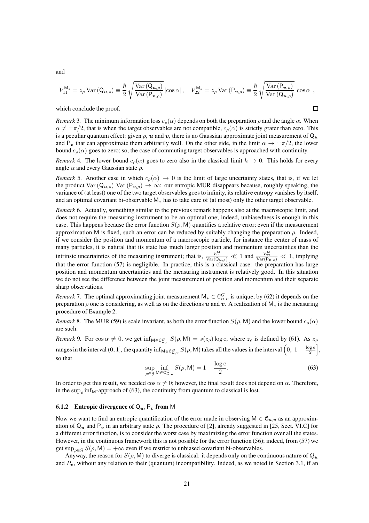and

$$
V_{11}^{\mathsf{M}_{*}}=z_{\rho}\operatorname{Var}\left(\mathsf{Q}_{\boldsymbol{u},\rho}\right)\equiv\frac{\hbar}{2}\sqrt{\frac{\operatorname{Var}\left(\mathsf{Q}_{\boldsymbol{u},\rho}\right)}{\operatorname{Var}\left(\mathsf{P}_{\boldsymbol{v},\rho}\right)}}\left|\cos\alpha\right|,\quad V_{22}^{\mathsf{M}_{*}}=z_{\rho}\operatorname{Var}\left(\mathsf{P}_{\boldsymbol{v},\rho}\right)\equiv\frac{\hbar}{2}\sqrt{\frac{\operatorname{Var}\left(\mathsf{P}_{\boldsymbol{v},\rho}\right)}{\operatorname{Var}\left(\mathsf{Q}_{\boldsymbol{u},\rho}\right)}}\left|\cos\alpha\right|,
$$

 $\Box$ 

which conclude the proof.

*Remark* 3. The minimum information loss  $c_\rho(\alpha)$  depends on both the preparation  $\rho$  and the angle  $\alpha$ . When  $\alpha \neq \pm \pi/2$ , that is when the target observables are not compatible,  $c_o(\alpha)$  is strictly grater than zero. This is a peculiar quantum effect: given  $\rho$ ,  $u$  and  $v$ , there is no Gaussian approximate joint measurement of  $Q_u$ and P<sub>v</sub> that can approximate them arbitrarily well. On the other side, in the limit  $\alpha \to \pm \pi/2$ , the lower bound  $c_{\rho}(\alpha)$  goes to zero; so, the case of commuting target observables is approached with continuity.

*Remark* 4. The lower bound  $c<sub>o</sub>(\alpha)$  goes to zero also in the classical limit  $\hbar \to 0$ . This holds for every angle  $\alpha$  and every Gaussian state  $\rho$ .

*Remark* 5. Another case in which  $c_{\rho}(\alpha) \rightarrow 0$  is the limit of large uncertainty states, that is, if we let the product Var  $(Q_{u,\rho})$  Var  $(P_{v,\rho}) \to \infty$ : our entropic MUR disappears because, roughly speaking, the variance of (at least) one of the two target observables goes to infinity, its relative entropy vanishes by itself, and an optimal covariant bi-observable M<sup>∗</sup> has to take care of (at most) only the other target observable.

*Remark* 6*.* Actually, something similar to the previous remark happens also at the macroscopic limit, and does not require the measuring instrument to be an optimal one; indeed, unbiasedness is enough in this case. This happens because the error function  $S(\rho, M)$  quantifies a relative error; even if the measurement approximation M is fixed, such an error can be reduced by suitably changing the preparation  $ρ$ . Indeed, if we consider the position and momentum of a macroscopic particle, for instance the center of mass of many particles, it is natural that its state has much larger position and momentum uncertainties than the intrinsic uncertainties of the measuring instrument; that is,  $\frac{V_{11}^M}{Var(Q_{\mathbf{u},\rho})} \ll 1$  and  $\frac{V_{22}^M}{Var(P_{\mathbf{v},\rho})} \ll 1$ , implying that the error function (57) is negligible. In practice, this is a classical case: the preparation has large position and momentum uncertainties and the measuring instrument is relatively good. In this situation we do not see the difference between the joint measurement of position and momentum and their separate sharp observations.

*Remark* 7. The optimal approximating joint measurement  $M_* \in \mathcal{C}_{u,v}^G$  is unique; by (62) it depends on the preparation  $\rho$  one is considering, as well as on the directions u and v. A realization of M<sub>\*</sub> is the measuring procedure of Example 2.

*Remark* 8. The MUR (59) is scale invariant, as both the error function  $S(\rho, M)$  and the lower bound  $c_\rho(\alpha)$ are such.

*Remark* 9. For  $\cos \alpha \neq 0$ , we get  $\inf_{M \in \mathfrak{C}_{u,v}^G} S(\rho, M) = s(z_\rho) \log e$ , where  $z_\rho$  is defined by (61). As  $z_\rho$ ranges in the interval  $(0, 1]$ , the quantity  $\inf_{M \in \mathcal{C}_{u,v}^G} S(\rho, M)$  takes all the values in the interval  $\left(0, 1 - \frac{\log e}{2}\right)$ i , so that

$$
\sup_{\rho \in \mathcal{G}} \inf_{\mathsf{M} \in \mathcal{C}_{\mathbf{u},v}^G} S(\rho, \mathsf{M}) = 1 - \frac{\log e}{2}.
$$
\n(63)

In order to get this result, we needed  $\cos \alpha \neq 0$ ; however, the final result does not depend on  $\alpha$ . Therefore, in the sup<sub> $\rho$ </sub> inf<sub>M</sub>-approach of (63), the continuity from quantum to classical is lost.

#### **6.1.2** Entropic divergence of  $Q_u$ ,  $P_v$  from M

Now we want to find an entropic quantification of the error made in observing  $M \in \mathcal{C}_{u,v}$  as an approximation of  $Q_u$  and  $P_v$  in an arbitrary state  $\rho$ . The procedure of [2], already suggested in [25, Sect. VI.C] for a different error function, is to consider the worst case by maximizing the error function over all the states. However, in the continuous framework this is not possible for the error function (56); indeed, from (57) we get sup<sub> $o \in G$ </sub>  $S(\rho, M) = +\infty$  even if we restrict to unbiased covariant bi-observables.

Anyway, the reason for  $S(\rho, M)$  to diverge is classical: it depends only on the continuous nature of  $Q_u$ and  $P_v$ , without any relation to their (quantum) incompatibility. Indeed, as we noted in Section 3.1, if an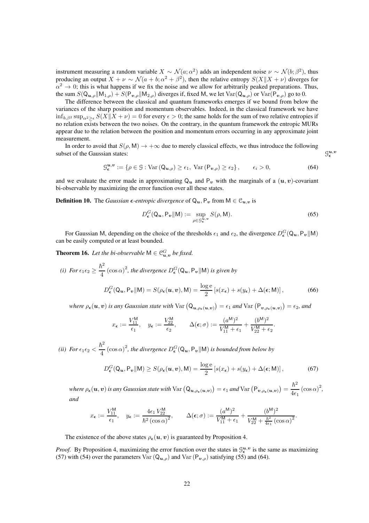instrument measuring a random variable  $X \sim \mathcal{N}(a; \alpha^2)$  adds an independent noise  $\nu \sim \mathcal{N}(b; \beta^2)$ , thus producing an output  $X + \nu \sim \mathcal{N}(a + b; \alpha^2 + \beta^2)$ , then the relative entropy  $S(X||X + \nu)$  diverges for  $\alpha^2 \to 0$ ; this is what happens if we fix the noise and we allow for arbitrarily peaked preparations. Thus, the sum  $S(Q_{u,\rho}||M_{1,\rho}) + S(P_{v,\rho}||M_{2,\rho})$  diverges if, fixed M, we let  $Var(Q_{u,\rho})$  or  $Var(P_{v,\rho})$  go to 0.

The difference between the classical and quantum frameworks emerges if we bound from below the variances of the sharp position and momentum observables. Indeed, in the classical framework we have  $\inf_{b,\beta^2} \sup_{\alpha^2>\epsilon} S(X||X+\nu) = 0$  for every  $\epsilon > 0$ ; the same holds for the sum of two relative entropies if no relation exists between the two noises. On the contrary, in the quantum framework the entropic MURs appear due to the relation between the position and momentum errors occurring in any approximate joint measurement.

In order to avoid that  $S(\rho, M) \to +\infty$  due to merely classical effects, we thus introduce the following subset of the Gaussian states:

$$
\mathcal{G}_{\epsilon}^{\mathbf{u},\mathbf{v}} := \{ \rho \in \mathcal{G} : \text{Var}\left(\mathbf{Q}_{\mathbf{u},\rho}\right) \ge \epsilon_1, \text{ Var}\left(\mathbf{P}_{\mathbf{v},\rho}\right) \ge \epsilon_2 \}, \qquad \epsilon_i > 0,
$$
\n<sup>(64)</sup>

and we evaluate the error made in approximating  $Q_u$  and  $P_v$  with the marginals of a  $(u, v)$ -covariant bi-observable by maximizing the error function over all these states.

**Definition 10.** The *Gaussian*  $\epsilon$ *-entropic divergence* of  $Q_u$ ,  $P_v$  from  $M \in C_u$ , is

$$
D_{\epsilon}^{G}(\mathbf{Q}_{u}, \mathbf{P}_{v} \| \mathbf{M}) := \sup_{\rho \in \mathcal{G}_{\epsilon}^{u,v}} S(\rho, \mathbf{M}).
$$
\n(65)

For Gaussian M, depending on the choice of the thresholds  $\epsilon_1$  and  $\epsilon_2$ , the divergence  $D^G_{\epsilon}(Q_u, P_v||M)$ can be easily computed or at least bounded.

**Theorem 16.** Let the bi-observable  $M \in \mathbb{C}_{\bm u,v}^G$  be fixed.

(i) For 
$$
\epsilon_1 \epsilon_2 \ge \frac{\hbar^2}{4} (\cos \alpha)^2
$$
, the divergence  $D_{\epsilon}^G(Q_u, P_v||M)$  is given by  

$$
D_{\epsilon}^G(Q_u, P_v||M) = S(\rho_{\epsilon}(u, v), M) = \frac{\log e}{2} [s(x_{\epsilon}) + s(y_{\epsilon}) + \Delta(\epsilon; M)],
$$
(66)

where  $\rho_{\bm{\epsilon}}(\bm{u},\bm{v})$  is any Gaussian state with  $\text{Var}\left(Q_{\bm{u},\rho_{\bm{\epsilon}}(\bm{u},\bm{v})}\right) = \epsilon_1$  and  $\text{Var}\left(P_{\bm{v},\rho_{\bm{\epsilon}}(\bm{u},\bm{v})}\right) = \epsilon_2$ , and

$$
x_{\epsilon}:=\frac{V_{11}^{\mathsf{M}}}{\epsilon_1},\quad y_{\epsilon}:=\frac{V_{22}^{\mathsf{M}}}{\epsilon_2},\qquad \Delta(\epsilon;\sigma):=\frac{(a^{\mathsf{M}})^2}{V_{11}^{\mathsf{M}}+\epsilon_1}+\frac{(b^{\mathsf{M}})^2}{V_{22}^{\mathsf{M}}+\epsilon_2}.
$$

*(ii)* For  $\epsilon_1 \epsilon_2$   $<$  $\hbar^2$  $\frac{1}{4}$  (cos  $\alpha$ )<sup>2</sup>, the divergence  $D_{\epsilon}^{G}(Q_{u}, P_{v}||M)$  is bounded from below by

$$
D_{\epsilon}^{G}(\mathbf{Q}_{u}, \mathbf{P}_{v}||\mathbf{M}) \ge S(\rho_{\epsilon}(u, v), \mathbf{M}) = \frac{\log e}{2} \left[ s(x_{\epsilon}) + s(y_{\epsilon}) + \Delta(\epsilon; \mathbf{M}) \right],\tag{67}
$$

where  $\rho_\epsilon(\bm u,\bm v)$  is any Gaussian state with  $\text{Var}\left(Q_{\bm u,\rho_{\epsilon}(\bm u,\bm v)}\right)=\epsilon_1$  and  $\text{Var}\left(\mathsf{P}_{\bm v,\rho_{\epsilon}(\bm u,\bm v)}\right)=0$  $\hbar^2$  $\frac{n}{4\epsilon_1}(\cos\alpha)^2$ , *and*

$$
x_{\epsilon} := \frac{V_{11}^{\mathsf{M}}}{\epsilon_1}, \quad y_{\epsilon} := \frac{4\epsilon_1 V_{22}^{\mathsf{M}}}{\hbar^2 (\cos \alpha)^2}, \qquad \Delta(\epsilon; \sigma) := \frac{(a^{\mathsf{M}})^2}{V_{11}^{\mathsf{M}} + \epsilon_1} + \frac{(b^{\mathsf{M}})^2}{V_{22}^{\mathsf{M}} + \frac{\hbar^2}{4\epsilon_1} (\cos \alpha)^2}.
$$

The existence of the above states  $\rho_{\epsilon}(u, v)$  is guaranteed by Proposition 4.

*Proof.* By Proposition 4, maximizing the error function over the states in  $\mathcal{G}_{\epsilon}^{u,v}$  is the same as maximizing (57) with (54) over the parameters Var  $(Q_{u,\rho})$  and Var  $(P_{v,\rho})$  satisfying (55) and (64).

 $\frac{u}{\epsilon}$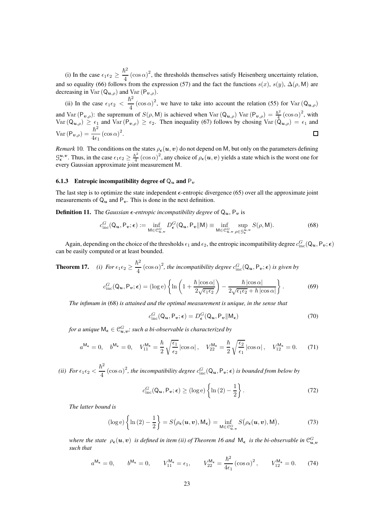(i) In the case  $\epsilon_1 \epsilon_2 \geq$  $\hbar^2$  $\frac{b^2}{4}$  (cos  $\alpha$ )<sup>2</sup>, the thresholds themselves satisfy Heisenberg uncertainty relation, and so equality (66) follows from the expression (57) and the fact the functions  $s(x)$ ,  $s(y)$ ,  $\Delta(\rho, M)$  are decreasing in Var  $(Q_{u,\rho})$  and Var  $(P_{v,\rho})$ .

 $\hbar^2$  $(\cos \alpha)^2$ , we have to take into account the relation (55) for Var  $(Q_{u,\rho})$ (ii) In the case  $\epsilon_1 \epsilon_2$  < and Var  $(P_{v,\rho})$ : the supremum of  $S(\rho,M)$  is achieved when Var  $(Q_{u,\rho})$  Var  $(P_{v,\rho}) = \frac{\hbar^2}{4}$  $\frac{\hbar^2}{4}$   $\left(\cos \alpha\right)^2$ , with  $Var(Q_{u,\rho}) \geq \epsilon_1$  and  $Var(P_{v,\rho}) \geq \epsilon_2$ . Then inequality (67) follows by chosing  $Var(\bar{Q}_{u,\rho}) = \epsilon_1$  and Var  $(P_{\boldsymbol{v},\rho})=\frac{\hbar^2}{4\epsilon}$  $\frac{n}{4\epsilon_1}(\cos\alpha)^2$ .  $\Box$ 

*Remark* 10. The conditions on the states  $\rho_{\bm{\epsilon}}(\bm{u},\bm{v})$  do not depend on M, but only on the parameters defining  $\mathcal{G}_{\epsilon}^{u,v}$ . Thus, in the case  $\epsilon_1 \epsilon_2 \geq \frac{\hbar^2}{4}$  $\frac{\hbar^2}{4}(\cos\alpha)^2$ , any choice of  $\rho_{\epsilon}(u,v)$  yields a state which is the worst one for every Gaussian approximate joint measurement M.

#### 6.1.3 Entropic incompatibility degree of  $\mathbb{Q}_u$  and  $\mathbb{P}_v$

The last step is to optimize the state independent  $\epsilon$ -entropic divergence (65) over all the approximate joint measurements of  $Q_u$  and  $P_v$ . This is done in the next definition.

**Definition 11.** The *Gaussian*  $\epsilon$ *-entropic incompatibility degree* of  $Q_u$ ,  $P_v$  is

$$
c_{\text{inc}}^G(\mathbf{Q}_u, \mathbf{P}_v; \epsilon) := \inf_{\mathbf{M} \in \mathcal{C}_{u,v}^G} D_{\epsilon}^G(\mathbf{Q}_u, \mathbf{P}_v | \mathbf{M}) \equiv \inf_{\mathbf{M} \in \mathcal{C}_{u,v}^G} \sup_{\rho \in \mathcal{G}_{\epsilon}^u, v} S(\rho, \mathbf{M}).
$$
 (68)

Again, depending on the choice of the thresholds  $\epsilon_1$  and  $\epsilon_2$ , the entropic incompatibility degree  $c_{\rm inc}^G(Q_u, P_v; \epsilon)$ can be easily computed or at least bounded.

**Theorem 17.** (i) For 
$$
\epsilon_1 \epsilon_2 \ge \frac{\hbar^2}{4} (\cos \alpha)^2
$$
, the incompatibility degree  $c_{\text{inc}}^G(Q_u, P_v; \epsilon)$  is given by  

$$
c_{\text{inc}}^G(Q_u, P_v; \epsilon) = (\log e) \left\{ \ln \left( 1 + \frac{\hbar |\cos \alpha|}{2\sqrt{\epsilon_1 \epsilon_2}} \right) - \frac{\hbar |\cos \alpha|}{2\sqrt{\epsilon_1 \epsilon_2} + \hbar |\cos \alpha|} \right\}.
$$
(69)

*The infimum in* (68) *is attained and the optimal measurement is unique, in the sense that*

$$
c_{\rm inc}^G(Q_{\boldsymbol{u}}, P_{\boldsymbol{v}}; \epsilon) = D_{\epsilon}^G(Q_{\boldsymbol{u}}, P_{\boldsymbol{v}} \| \mathsf{M}_{\epsilon})
$$
(70)

for a unique  $\mathsf{M}_{\bm{\epsilon}}\in\mathbb{C}^G_{\bm{u},\bm{v}};$  such a bi-observable is characterized by

$$
a^{\mathsf{M}_{\epsilon}} = 0, \quad b^{\mathsf{M}_{\epsilon}} = 0, \quad V_{11}^{\mathsf{M}_{\epsilon}} = \frac{\hbar}{2} \sqrt{\frac{\epsilon_1}{\epsilon_2}} \left| \cos \alpha \right|, \quad V_{22}^{\mathsf{M}_{\epsilon}} = \frac{\hbar}{2} \sqrt{\frac{\epsilon_2}{\epsilon_1}} \left| \cos \alpha \right|, \quad V_{12}^{\mathsf{M}_{\epsilon}} = 0. \tag{71}
$$

*(ii)* For  $\epsilon_1 \epsilon_2$   $<$  $\hbar^2$  $\frac{d^2}{dt}$  (cos  $\alpha$ )<sup>2</sup>, the incompatibility degree  $c_{\text{inc}}^G(Q_u, P_v; \epsilon)$  is bounded from below by

$$
c_{\rm inc}^G(\mathbf{Q_u}, \mathbf{P_v}; \epsilon) \ge (\log e) \left\{ \ln(2) - \frac{1}{2} \right\}.
$$
 (72)

*The latter bound is*

$$
(\log e)\left\{\ln(2)-\frac{1}{2}\right\} = S\big(\rho_{\epsilon}(\boldsymbol{u},\boldsymbol{v}),\mathsf{M}_{\epsilon}\big) = \inf_{\mathsf{M}\in\mathcal{C}_{\boldsymbol{u},\boldsymbol{v}}^G} S\big(\rho_{\epsilon}(\boldsymbol{u},\boldsymbol{v}),\mathsf{M}\big),\tag{73}
$$

where the state  $\rho_\epsilon(\bm u,\bm v)$  is defined in item (ii) of Theorem 16 and  $\mathsf{M}_\epsilon$  is the bi-observable in  $\mathcal{C}^G_{\bm u,\bm v}$ *such that*

$$
a^{\mathsf{M}_{\epsilon}} = 0
$$
,  $b^{\mathsf{M}_{\epsilon}} = 0$ ,  $V_{11}^{\mathsf{M}_{\epsilon}} = \epsilon_1$ ,  $V_{22}^{\mathsf{M}_{\epsilon}} = \frac{\hbar^2}{4\epsilon_1} (\cos \alpha)^2$ ,  $V_{12}^{\mathsf{M}_{\epsilon}} = 0$ . (74)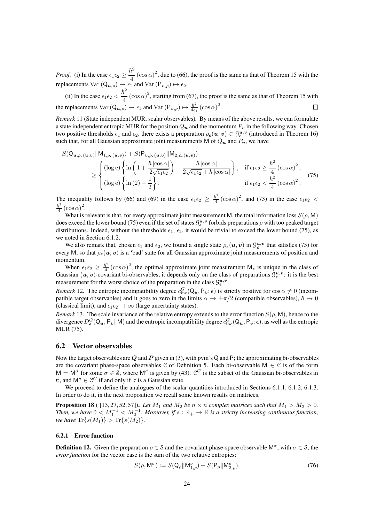*Proof.* (i) In the case  $\epsilon_1 \epsilon_2 \geq$  $\hbar^2$  $\frac{b^2}{4}$  (cos  $\alpha$ )<sup>2</sup>, due to (66), the proof is the same as that of Theorem 15 with the replacements  $Var(Q_{u,\rho}) \mapsto \epsilon_1$  and  $Var(P_{v,\rho}) \mapsto \epsilon_2$ .

 $\hbar^2$  $\frac{1}{4}$  (cos  $\alpha$ )<sup>2</sup>, starting from (67), the proof is the same as that of Theorem 15 with (ii) In the case  $\epsilon_1 \epsilon_2$  < the replacements  $Var(Q_{u,\rho}) \mapsto \epsilon_1$  and  $Var(P_{v,\rho}) \mapsto \frac{\hbar^2}{4\epsilon_1}$  $\frac{\hbar^2}{4\epsilon_1}(\cos\alpha)^2$ .  $\Box$ 

*Remark* 11 (State independent MUR, scalar observables)*.* By means of the above results, we can formulate a state independent entropic MUR for the position  $Q_u$  and the momentum  $P_v$  in the following way. Chosen two positive thresholds  $\epsilon_1$  and  $\epsilon_2$ , there exists a preparation  $\rho_{\epsilon}(u, v) \in \mathcal{G}_{\epsilon}^{u,v}$  (introduced in Theorem 16) such that, for all Gaussian approximate joint measurements M of  $Q_u$  and  $P_v$ , we have

$$
S(Q_{\boldsymbol{u},\rho_{\epsilon}(\boldsymbol{u},\boldsymbol{v})}||M_{1,\rho_{\epsilon}(\boldsymbol{u},\boldsymbol{v})}) + S(P_{\boldsymbol{v},\rho_{\epsilon}(\boldsymbol{u},\boldsymbol{v})}||M_{2,\rho_{\epsilon}(\boldsymbol{u},\boldsymbol{v})})
$$
  
\n
$$
\geq \begin{cases} (\log e) \left\{ \ln \left( 1 + \frac{\hbar \left| \cos \alpha \right|}{2\sqrt{\epsilon_1 \epsilon_2}} \right) - \frac{\hbar \left| \cos \alpha \right|}{2\sqrt{\epsilon_1 \epsilon_2} + \hbar \left| \cos \alpha \right|} \right\}, & \text{if } \epsilon_1 \epsilon_2 \geq \frac{\hbar^2}{4} \left( \cos \alpha \right)^2, \\ (\log e) \left\{ \ln \left( 2 \right) - \frac{1}{2} \right\}, & \text{if } \epsilon_1 \epsilon_2 < \frac{\hbar^2}{4} \left( \cos \alpha \right)^2. \end{cases}
$$
(75)

The inequality follows by (66) and (69) in the case  $\epsilon_1 \epsilon_2 \geq \frac{\hbar^2}{4}$  $\frac{\hbar^2}{4}$  (cos  $\alpha$ )<sup>2</sup>, and (73) in the case  $\epsilon_1 \epsilon_2$  <  $\hbar^2$  $rac{\bar{v}^2}{4}(\cos \alpha)^2$ .

What is relevant is that, for every approximate joint measurement M, the total information loss  $S(\rho, M)$ does exceed the lower bound (75) even if the set of states  $\mathcal{G}_{\epsilon}^{u,v}$  forbids preparations  $\rho$  with too peaked target distributions. Indeed, without the thresholds  $\epsilon_1$ ,  $\epsilon_2$ , it would be trivial to exceed the lower bound (75), as we noted in Section 6.1.2.

We also remark that, chosen  $\epsilon_1$  and  $\epsilon_2$ , we found a single state  $\rho_{\epsilon}(u, v)$  in  $\mathcal{G}_{\epsilon}^{u, v}$  that satisfies (75) for every M, so that  $\rho_{\epsilon}(u, v)$  is a 'bad' state for all Gaussian approximate joint measurements of position and momentum.

When  $\epsilon_1 \epsilon_2 \geq \frac{\hbar^2}{4}$  $\frac{\hbar^2}{4}$  (cos  $\alpha$ )<sup>2</sup>, the optimal approximate joint measurement M<sub> $\epsilon$ </sub> is unique in the class of Gaussian  $(u, v)$ -covariant bi-observables; it depends only on the class of preparations  $\mathcal{G}_{\epsilon}^{u,v}$ : it is the best measurement for the worst choice of the preparation in the class  $\mathcal{G}_{\epsilon}^{u,v}$ .

*Remark* 12. The entropic incompatibility degree  $c_{\text{inc}}^G(Q_u, P_v; \epsilon)$  is strictly positive for  $\cos \alpha \neq 0$  (incompatible target observables) and it goes to zero in the limits  $\alpha \to \pm \pi/2$  (compatible observables),  $\hbar \to 0$ (classical limit), and  $\epsilon_1 \epsilon_2 \rightarrow \infty$  (large uncertainty states).

*Remark* 13. The scale invariance of the relative entropy extends to the error function  $S(\rho, M)$ , hence to the divergence  $D_{\epsilon}^{G}(Q_{u}, P_{v}||M)$  and the entropic incompatibility degree  $c_{\text{inc}}^{G}(Q_{u}, P_{v}; \epsilon)$ , as well as the entropic MUR (75).

### 6.2 Vector observables

Now the target observables are Q and P given in (3), with pvm's Q and P; the approximating bi-observables are the covariant phase-space observables  $C$  of Definition 5. Each bi-observable  $M \in C$  is of the form  $M = M^{\sigma}$  for some  $\sigma \in \mathcal{S}$ , where  $M^{\sigma}$  is given by (43). C<sup>G</sup> is the subset of the Gaussian bi-observables in C, and  $M^{\sigma} \in \mathcal{C}^G$  if and only if  $\sigma$  is a Gaussian state.

We proceed to define the analogues of the scalar quantities introduced in Sections 6.1.1, 6.1.2, 6.1.3. In order to do it, in the next proposition we recall some known results on matrices.

**Proposition 18** (  $[13, 27, 52, 57]$ ). Let  $M_1$  and  $M_2$  be  $n \times n$  complex matrices such that  $M_1 > M_2 > 0$ . *Then, we have*  $0 < M_1^{-1} < M_2^{-1}$ . Moreover, if  $s : \mathbb{R}_+ \to \mathbb{R}$  is a strictly increasing continuous function, *we have*  $\text{Tr}\{s(M_1)\} > \text{Tr}\{s(M_2)\}.$ 

#### 6.2.1 Error function

**Definition 12.** Given the preparation  $\rho \in \mathcal{S}$  and the covariant phase-space observable  $M^{\sigma}$ , with  $\sigma \in \mathcal{S}$ , the *error function* for the vector case is the sum of the two relative entropies:

$$
S(\rho, \mathsf{M}^{\sigma}) := S(\mathsf{Q}_{\rho} \| \mathsf{M}^{\sigma}_{1,\rho}) + S(\mathsf{P}_{\rho} \| \mathsf{M}^{\sigma}_{2,\rho}).
$$
\n(76)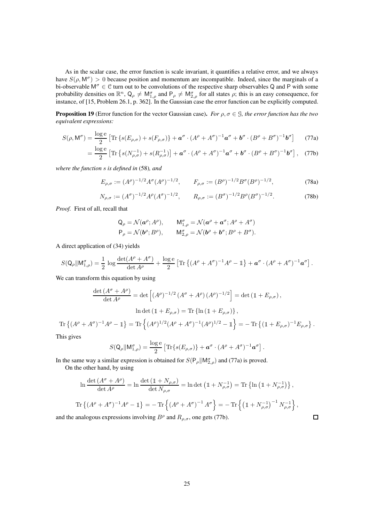As in the scalar case, the error function is scale invariant, it quantifies a relative error, and we always have  $S(\rho, M^{\sigma}) > 0$  because position and momentum are incompatible. Indeed, since the marginals of a bi-observable  $M^{\sigma} \in \mathcal{C}$  turn out to be convolutions of the respective sharp observables Q and P with some probability densities on  $\mathbb{R}^n$ ,  $\mathsf{Q}_\rho \neq \mathsf{M}_{1,\rho}^\sigma$  and  $\mathsf{P}_\rho \neq \mathsf{M}_{2,\rho}^\sigma$  for all states  $\rho$ ; this is an easy consequence, for instance, of [15, Problem 26.1, p. 362]. In the Gaussian case the error function can be explicitly computed.

**Proposition 19** (Error function for the vector Gaussian case). *For*  $\rho, \sigma \in \mathcal{G}$ *, the error function has the two equivalent expressions:*

$$
S(\rho, \mathsf{M}^{\sigma}) = \frac{\log e}{2} \left[ \text{Tr} \left\{ s(E_{\rho, \sigma}) + s(F_{\rho, \sigma}) \right\} + \boldsymbol{a}^{\sigma} \cdot (A^{\rho} + A^{\sigma})^{-1} \boldsymbol{a}^{\sigma} + \boldsymbol{b}^{\sigma} \cdot (B^{\rho} + B^{\sigma})^{-1} \boldsymbol{b}^{\sigma} \right] \tag{77a}
$$

$$
= \frac{\log e}{2} \left[ \text{Tr} \left\{ s(N_{\rho,\sigma}^{-1}) + s(R_{\rho,\sigma}^{-1}) \right\} + \boldsymbol{a}^{\sigma} \cdot (A^{\rho} + A^{\sigma})^{-1} \boldsymbol{a}^{\sigma} + \boldsymbol{b}^{\sigma} \cdot (B^{\rho} + B^{\sigma})^{-1} \boldsymbol{b}^{\sigma} \right], \quad (77b)
$$

*where the function* s *is defined in* (58)*, and*

$$
E_{\rho,\sigma} := (A^{\rho})^{-1/2} A^{\sigma} (A^{\rho})^{-1/2}, \qquad F_{\rho,\sigma} := (B^{\rho})^{-1/2} B^{\sigma} (B^{\rho})^{-1/2}, \tag{78a}
$$

$$
N_{\rho,\sigma} := (A^{\sigma})^{-1/2} A^{\rho} (A^{\sigma})^{-1/2}, \qquad R_{\rho,\sigma} := (B^{\sigma})^{-1/2} B^{\rho} (B^{\sigma})^{-1/2}.
$$
 (78b)

*Proof.* First of all, recall that

$$
Q_{\rho} = \mathcal{N}(\boldsymbol{a}^{\rho}; A^{\rho}), \qquad M_{1,\rho}^{\sigma} = \mathcal{N}(\boldsymbol{a}^{\rho} + \boldsymbol{a}^{\sigma}; A^{\rho} + A^{\sigma})
$$
  
\n
$$
P_{\rho} = \mathcal{N}(\boldsymbol{b}^{\rho}; B^{\rho}), \qquad M_{2,\rho}^{\sigma} = \mathcal{N}(\boldsymbol{b}^{\rho} + \boldsymbol{b}^{\sigma}; B^{\rho} + B^{\sigma}).
$$

A direct application of (34) yields

$$
S(\mathsf{Q}_{\rho}||\mathsf{M}^{\sigma}_{1,\rho}) = \frac{1}{2}\,\log\frac{\det(A^{\rho}+A^{\sigma})}{\det A^{\rho}} + \frac{\log\mathrm{e}}{2}\left[\mathrm{Tr}\left\{(A^{\rho}+A^{\sigma})^{-1}A^{\rho}-\mathbbm{1}\right\} + \boldsymbol{a}^{\sigma}\cdot(A^{\rho}+A^{\sigma})^{-1}\boldsymbol{a}^{\sigma}\right].
$$

We can transform this equation by using

$$
\frac{\det (A^{\sigma} + A^{\rho})}{\det A^{\rho}} = \det \left[ (A^{\rho})^{-1/2} (A^{\sigma} + A^{\rho}) (A^{\rho})^{-1/2} \right] = \det (\mathbb{1} + E_{\rho,\sigma}),
$$
  
\n
$$
\ln \det (\mathbb{1} + E_{\rho,\sigma}) = \text{Tr} \left\{ \ln (\mathbb{1} + E_{\rho,\sigma}) \right\},
$$
  
\n
$$
\text{Tr} \left\{ (A^{\rho} + A^{\sigma})^{-1} A^{\rho} - \mathbb{1} \right\} = \text{Tr} \left\{ (A^{\rho})^{1/2} (A^{\rho} + A^{\sigma})^{-1} (A^{\rho})^{1/2} - \mathbb{1} \right\} = -\text{Tr} \left\{ (\mathbb{1} + E_{\rho,\sigma})^{-1} E_{\rho,\sigma} \right\}.
$$

This gives

$$
S(\mathsf{Q}_{\rho}||\mathsf{M}_{1,\rho}^{\sigma}) = \frac{\log e}{2} \left[ \text{Tr}\{s(E_{\rho,\sigma})\} + \boldsymbol{a}^{\sigma} \cdot (A^{\rho} + A^{\sigma})^{-1} \boldsymbol{a}^{\sigma} \right].
$$

In the same way a similar expression is obtained for  $S(P_\rho || M_{2,\rho}^\sigma)$  and (77a) is proved.

On the other hand, by using

$$
\ln \frac{\det (A^{\sigma} + A^{\rho})}{\det A^{\rho}} = \ln \frac{\det (\mathbb{1} + N_{\rho,\sigma})}{\det N_{\rho,\sigma}} = \ln \det (\mathbb{1} + N_{\rho,\sigma}^{-1}) = \text{Tr} \left\{ \ln (\mathbb{1} + N_{\rho,\sigma}^{-1}) \right\},
$$
  

$$
\text{Tr} \left\{ (A^{\rho} + A^{\sigma})^{-1} A^{\rho} - \mathbb{1} \right\} = - \text{Tr} \left\{ (A^{\rho} + A^{\sigma})^{-1} A^{\sigma} \right\} = - \text{Tr} \left\{ (\mathbb{1} + N_{\rho,\sigma}^{-1})^{-1} N_{\rho,\sigma}^{-1} \right\},
$$

 $\Box$ 

and the analogous expressions involving  $B^{\rho}$  and  $R_{\rho,\sigma}$ , one gets (77b).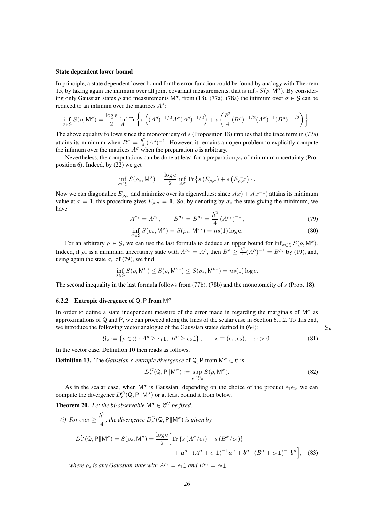#### State dependent lower bound

In principle, a state dependent lower bound for the error function could be found by analogy with Theorem 15, by taking again the infimum over all joint covariant measurements, that is  $\inf_{\sigma} S(\rho, M^{\sigma})$ . By considering only Gaussian states  $\rho$  and measurements  $M^{\sigma}$ , from (18), (77a), (78a) the infimum over  $\sigma \in \mathcal{G}$  can be reduced to an infimum over the matrices  $A^{\sigma}$ :

$$
\inf_{\sigma \in \mathcal{G}} S(\rho, \mathsf{M}^{\sigma}) = \frac{\log e}{2} \inf_{A^{\sigma}} \text{Tr} \left\{ s \left( (A^{\rho})^{-1/2} A^{\sigma} (A^{\rho})^{-1/2} \right) + s \left( \frac{\hbar^2}{4} (B^{\rho})^{-1/2} (A^{\sigma})^{-1} (B^{\rho})^{-1/2} \right) \right\}.
$$

The above equality follows since the monotonicity of  $s$  (Proposition 18) implies that the trace term in (77a) attains its minimum when  $B^{\sigma} = \frac{\hbar^2}{4}$  $\frac{\hbar^2}{4}(A^{\rho})^{-1}$ . However, it remains an open problem to explicitly compute the infimum over the matrices  $A^{\sigma}$  when the preparation  $\rho$  is arbitrary.

Nevertheless, the computations can be done at least for a preparation  $\rho_*$  of minimum uncertainty (Proposition 6). Indeed, by (22) we get

$$
\inf_{\sigma \in \mathcal{G}} S(\rho_*, \mathsf{M}^{\sigma}) = \frac{\log e}{2} \inf_{A^{\sigma}} \operatorname{Tr} \left\{ s \left( E_{\rho, \sigma} \right) + s \left( E_{\rho, \sigma}^{-1} \right) \right\}.
$$

Now we can diagonalize  $E_{\rho,\sigma}$  and minimize over its eigenvalues; since  $s(x) + s(x^{-1})$  attains its minimum value at  $x = 1$ , this procedure gives  $E_{\rho,\sigma} = \mathbb{1}$ . So, by denoting by  $\sigma_*$  the state giving the minimum, we have

$$
A^{\sigma_*} = A^{\rho_*}, \qquad B^{\sigma_*} = B^{\rho_*} = \frac{\hbar^2}{4} \left( A^{\rho_*} \right)^{-1}, \tag{79}
$$

$$
\inf_{\sigma \in \mathcal{G}} S(\rho_*, \mathsf{M}^\sigma) = S(\rho_*, \mathsf{M}^{\sigma_*}) = ns(1) \log e. \tag{80}
$$

For an arbitrary  $\rho \in \mathcal{G}$ , we can use the last formula to deduce an upper bound for  $\inf_{\sigma \in \mathcal{G}} S(\rho, \mathsf{M}^{\sigma})$ . Indeed, if  $\rho_*$  is a minimum uncertainty state with  $A^{\rho_*} = A^{\rho}$ , then  $B^{\rho} \ge \frac{\hbar^2}{4}$  $\frac{\hbar^2}{4}(A^{\rho})^{-1} = B^{\rho_*}$  by (19), and, using again the state  $\sigma_*$  of (79), we find

$$
\inf_{\sigma \in \mathcal{G}} S(\rho, \mathsf{M}^{\sigma}) \le S(\rho, \mathsf{M}^{\sigma_*}) \le S(\rho_*, \mathsf{M}^{\sigma_*}) = ns(1) \log e.
$$

The second inequality in the last formula follows from  $(77b)$ ,  $(78b)$  and the monotonicity of s (Prop. 18).

#### **6.2.2** Entropic divergence of Q, P from  $M^{\sigma}$

In order to define a state independent measure of the error made in regarding the marginals of  $M^{\sigma}$  as approximations of Q and P, we can proceed along the lines of the scalar case in Section 6.1.2. To this end, we introduce the following vector analogue of the Gaussian states defined in (64):  $\mathcal{G}_{\epsilon}$ 

$$
\mathcal{G}_{\epsilon} := \{ \rho \in \mathcal{G} : A^{\rho} \ge \epsilon_1 \mathbb{1}, \ B^{\rho} \ge \epsilon_2 \mathbb{1} \}, \qquad \epsilon \equiv (\epsilon_1, \epsilon_2), \quad \epsilon_i > 0. \tag{81}
$$

In the vector case, Definition 10 then reads as follows.

**Definition 13.** The *Gaussian*  $\epsilon$ *-entropic divergence* of Q, P from  $M^{\sigma} \in \mathcal{C}$  is

$$
D_{\epsilon}^{G}(\mathbf{Q}, \mathbf{P} \|\mathbf{M}^{\sigma}) := \sup_{\rho \in \mathcal{G}_{\epsilon}} S(\rho, \mathbf{M}^{\sigma}).
$$
\n(82)

As in the scalar case, when  $M^{\sigma}$  is Gaussian, depending on the choice of the product  $\epsilon_1 \epsilon_2$ , we can compute the divergence  $D_{\epsilon}^{G}(Q, P||M^{\sigma})$  or at least bound it from below.

**Theorem 20.** Let the bi-observable  $M^{\sigma} \in \mathbb{C}^G$  be fixed.

(i) For 
$$
\epsilon_1 \epsilon_2 \ge \frac{\hbar^2}{4}
$$
, the divergence  $D^G_{\epsilon}(Q, P \| M^{\sigma})$  is given by  
\n
$$
D^G_{\epsilon}(Q, P \| M^{\sigma}) = S(\rho_{\epsilon}, M^{\sigma}) = \frac{\log e}{2} \Big[ \text{Tr} \{ s (A^{\sigma}/\epsilon_1) + s (B^{\sigma}/\epsilon_2) \} + a^{\sigma} \cdot (A^{\sigma} + \epsilon_1 \mathbb{1})^{-1} a^{\sigma} + b^{\sigma} \cdot (B^{\sigma} + \epsilon_2 \mathbb{1})^{-1} b^{\sigma} \Big], \quad (83)
$$

*where*  $\rho_{\epsilon}$  *is any Gaussian state with*  $A^{\rho_{\epsilon}} = \epsilon_1 \mathbb{1}$  *and*  $B^{\rho_{\epsilon}} = \epsilon_2 \mathbb{1}$ *.*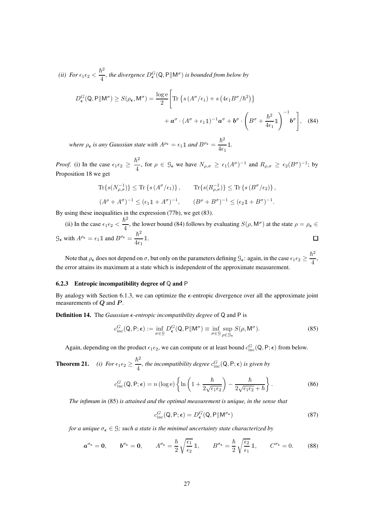*(ii)* For  $\epsilon_1 \epsilon_2$  <  $\hbar^2$  $\frac{\partial}{\partial t}$ , the divergence  $D^G_{\epsilon}(Q, P||M^{\sigma})$  is bounded from below by

$$
D_{\epsilon}^{G}(\mathbf{Q}, \mathbf{P} \| \mathbf{M}^{\sigma}) \ge S(\rho_{\epsilon}, \mathbf{M}^{\sigma}) = \frac{\log e}{2} \left[ \text{Tr} \left\{ s \left( A^{\sigma}/\epsilon_{1} \right) + s \left( 4\epsilon_{1} B^{\sigma}/\hbar^{2} \right) \right\} + a^{\sigma} \cdot \left( A^{\sigma} + \epsilon_{1} \mathbb{1} \right)^{-1} a^{\sigma} + b^{\sigma} \cdot \left( B^{\sigma} + \frac{\hbar^{2}}{4\epsilon_{1}} \mathbb{1} \right)^{-1} b^{\sigma} \right], \quad (84)
$$

*where*  $\rho_{\epsilon}$  *is any Gaussian state with*  $A^{\rho_{\epsilon}} = \epsilon_1 \mathbb{1}$  *and*  $B^{\rho_{\epsilon}} = \frac{\hbar^2}{4\epsilon_0}$  $\frac{1}{4\epsilon_1}$ 1.

*Proof.* (i) In the case  $\epsilon_1 \epsilon_2 \geq$  $\hbar^2$  $\frac{\epsilon}{4}$ , for  $\rho \in \mathcal{G}_{\epsilon}$  we have  $N_{\rho,\sigma} \geq \epsilon_1 (A^{\sigma})^{-1}$  and  $R_{\rho,\sigma} \geq \epsilon_2 (B^{\sigma})^{-1}$ ; by Proposition 18 we get

$$
\begin{aligned} \text{Tr}\{s(N_{\rho,\sigma}^{-1})\} &\leq \text{Tr}\left\{s(A^{\sigma}/\epsilon_1)\right\}, & \text{Tr}\{s(R_{\rho,\sigma}^{-1})\} &\leq \text{Tr}\left\{s(B^{\sigma}/\epsilon_2)\right\}, \\ (A^{\rho} + A^{\sigma})^{-1} &\leq (\epsilon_1 \mathbb{1} + A^{\sigma})^{-1}, & (B^{\rho} + B^{\sigma})^{-1} &\leq (\epsilon_2 \mathbb{1} + B^{\sigma})^{-1}. \end{aligned}
$$

By using these inequalities in the expression (77b), we get (83).

 $\hbar^2$  $\frac{\hbar}{4}$ , the lower bound (84) follows by evaluating  $S(\rho, M^{\sigma})$  at the state  $\rho = \rho_{\epsilon} \in$ (ii) In the case  $\epsilon_1 \epsilon_2$  <  $\mathcal{G}_{\epsilon}$  with  $A^{\rho_{\epsilon}} = \epsilon_1 \mathbb{1}$  and  $B^{\rho_{\epsilon}} = \frac{\hbar^2}{4\epsilon_0}$  $\Box$  $\frac{1}{4\epsilon_1}$ 1.

Note that  $\rho_\epsilon$  does not depend on  $\sigma$ , but only on the parameters defining  $\mathcal{G}_\epsilon$ : again, in the case  $\epsilon_1 \epsilon_2 \geq \frac{\hbar^2}{4}$  $\frac{1}{4}$ , the error attains its maximum at a state which is independent of the approximate measurement.

#### 6.2.3 Entropic incompatibility degree of Q and P

By analogy with Section 6.1.3, we can optimize the  $\epsilon$ -entropic divergence over all the approximate joint measurements of  $Q$  and  $P$ .

**Definition 14.** The *Gaussian*  $\epsilon$ *-entropic incompatibility degree* of  $\mathbb Q$  and  $\mathbb P$  is

$$
c_{\text{inc}}^G(\mathsf{Q}, \mathsf{P}; \epsilon) := \inf_{\sigma \in \mathcal{G}} D_{\epsilon}^G(\mathsf{Q}, \mathsf{P} \| \mathsf{M}^{\sigma}) \equiv \inf_{\sigma \in \mathcal{G}} \sup_{\rho \in \mathcal{G}_{\epsilon}} S(\rho, \mathsf{M}^{\sigma}).
$$
\n(85)

Again, depending on the product  $\epsilon_1 \epsilon_2$ , we can compute or at least bound  $c_{\text{inc}}^G(Q, P; \epsilon)$  from below.

**Theorem 21.** *(i)* For  $\epsilon_1 \epsilon_2 \geq$  $\hbar^2$  $\frac{\partial}{\partial t}$ , the incompatibility degree  $c_{\text{inc}}^G(Q, P; \epsilon)$  is given by

$$
c_{\rm inc}^G(Q, P; \epsilon) = n (\log e) \left\{ \ln \left( 1 + \frac{\hbar}{2\sqrt{\epsilon_1 \epsilon_2}} \right) - \frac{\hbar}{2\sqrt{\epsilon_1 \epsilon_2} + \hbar} \right\}.
$$
 (86)

*The infimum in* (85) *is attained and the optimal measurement is unique, in the sense that*

$$
c_{\text{inc}}^G(\mathbf{Q}, \mathbf{P}; \boldsymbol{\epsilon}) = D_{\boldsymbol{\epsilon}}^G(\mathbf{Q}, \mathbf{P} | \mathbf{M}^{\sigma_{\boldsymbol{\epsilon}}})
$$
(87)

*for a unique*  $\sigma_{\epsilon} \in \mathcal{G}$ *; such a state is the minimal uncertainty state characterized by* 

$$
a^{\sigma_{\epsilon}} = 0, \qquad b^{\sigma_{\epsilon}} = 0, \qquad A^{\sigma_{\epsilon}} = \frac{\hbar}{2} \sqrt{\frac{\epsilon_1}{\epsilon_2}} \mathbbm{1}, \qquad B^{\sigma_{\epsilon}} = \frac{\hbar}{2} \sqrt{\frac{\epsilon_2}{\epsilon_1}} \mathbbm{1}, \qquad C^{\sigma_{\epsilon}} = 0. \tag{88}
$$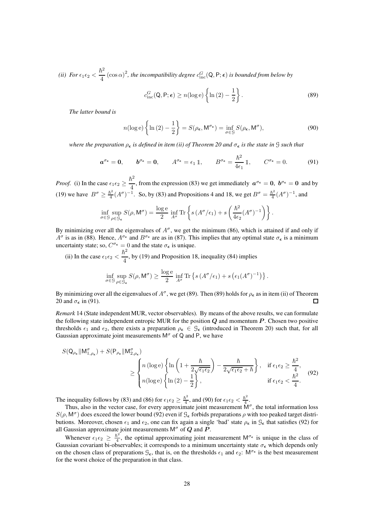*(ii)* For  $\epsilon_1 \epsilon_2$  <  $\hbar^2$  $\frac{d^2}{dt}$  (cos  $\alpha$ )<sup>2</sup>, the incompatibility degree  $c_{\text{inc}}^G(Q, P; \epsilon)$  is bounded from below by

$$
c_{\rm inc}^G(Q, P; \epsilon) \ge n(\log e) \left\{ \ln(2) - \frac{1}{2} \right\}.
$$
 (89)

*The latter bound is*

$$
n(\log e) \left\{ \ln(2) - \frac{1}{2} \right\} = S(\rho_{\epsilon}, \mathsf{M}^{\sigma_{\epsilon}}) = \inf_{\sigma \in \mathcal{G}} S(\rho_{\epsilon}, \mathsf{M}^{\sigma}), \tag{90}
$$

*where the preparation*  $\rho_{\epsilon}$  *is defined in item (ii) of Theorem 20 and*  $\sigma_{\epsilon}$  *is the state in*  $\Im$  *such that* 

$$
a^{\sigma_{\epsilon}} = 0, \qquad b^{\sigma_{\epsilon}} = 0, \qquad A^{\sigma_{\epsilon}} = \epsilon_1 \, \mathbb{1}, \qquad B^{\sigma_{\epsilon}} = \frac{\hbar^2}{4\epsilon_1} \, \mathbb{1}, \qquad C^{\sigma_{\epsilon}} = 0. \tag{91}
$$

*Proof.* (i) In the case  $\epsilon_1 \epsilon_2 \geq$  $\hbar^2$  $\frac{1}{4}$ , from the expression (83) we get immediately  $a^{\sigma_{\epsilon}} = 0$ ,  $b^{\sigma_{\epsilon}} = 0$  and by (19) we have  $B^{\sigma} \geq \frac{\hbar^2}{4}$  $\frac{\hbar^2}{4}(A^\sigma)^{-1}$ . So, by (83) and Propositions 4 and 18, we get  $B^\sigma = \frac{\hbar^2}{4}$  $\frac{5^2}{4}(A^{\sigma})^{-1}$ , and

$$
\inf_{\sigma \in \mathcal{G}} \sup_{\rho \in \mathcal{G}_{\epsilon}} S(\rho, \mathsf{M}^{\sigma}) = \frac{\log \mathrm{e}}{2} \inf_{A^{\sigma}} \mathrm{Tr} \left\{ s \left( A^{\sigma}/\epsilon_1 \right) + s \left( \frac{\hbar^2}{4 \epsilon_2} (A^{\sigma})^{-1} \right) \right\}.
$$

By minimizing over all the eigenvalues of  $A^{\sigma}$ , we get the minimum (86), which is attained if and only if  $A^{\sigma}$  is as in (88). Hence,  $A^{\sigma_{\epsilon}}$  and  $B^{\sigma_{\epsilon}}$  are as in (87). This implies that any optimal state  $\sigma_{\epsilon}$  is a minimum uncertainty state; so,  $C^{\sigma_{\epsilon}} = 0$  and the state  $\sigma_{\epsilon}$  is unique.

(ii) In the case  $\epsilon_1 \epsilon_2$  <  $\hbar^2$  $\frac{1}{4}$ , by (19) and Proposition 18, inequality (84) implies

$$
\inf_{\sigma \in \mathcal{G}} \sup_{\rho \in \mathcal{G}_{\epsilon}} S(\rho, \mathsf{M}^{\sigma}) \ge \frac{\log e}{2} \inf_{A^{\sigma}} \text{Tr} \left\{ s \left( A^{\sigma}/\epsilon_1 \right) + s \left( \epsilon_1 (A^{\sigma})^{-1} \right) \right\}.
$$

By minimizing over all the eigenvalues of  $A^\sigma$ , we get (89). Then (89) holds for  $\rho_\epsilon$  as in item (ii) of Theorem 20 and  $\sigma_{\epsilon}$  in (91).  $\Box$ 

*Remark* 14 (State independent MUR, vector observables)*.* By means of the above results, we can formulate the following state independent entropic MUR for the position  $Q$  and momentum  $P$ . Chosen two positive thresholds  $\epsilon_1$  and  $\epsilon_2$ , there exists a preparation  $\rho_{\epsilon} \in \mathcal{G}_{\epsilon}$  (introduced in Theorem 20) such that, for all Gaussian approximate joint measurements  $M^{\sigma}$  of Q and P, we have

$$
S(Q_{\rho_{\epsilon}} \| M_{1,\rho_{\epsilon}}^{\sigma}) + S(P_{\rho_{\epsilon}} \| M_{2,\rho_{\epsilon}}^{\sigma})
$$
  
\n
$$
\geq \begin{cases} n (\log e) \left\{ \ln \left( 1 + \frac{\hbar}{2\sqrt{\epsilon_{1}\epsilon_{2}}} \right) - \frac{\hbar}{2\sqrt{\epsilon_{1}\epsilon_{2}} + \hbar} \right\}, & \text{if } \epsilon_{1}\epsilon_{2} \geq \frac{\hbar^{2}}{4}, \\ n (\log e) \left\{ \ln (2) - \frac{1}{2} \right\}, & \text{if } \epsilon_{1}\epsilon_{2} < \frac{\hbar^{2}}{4}. \end{cases}
$$
(92)

The inequality follows by (83) and (86) for  $\epsilon_1 \epsilon_2 \geq \frac{\hbar^2}{4}$  $\frac{\hbar^2}{4}$ , and (90) for  $\epsilon_1 \epsilon_2 < \frac{\hbar^2}{4}$  $\frac{\imath^2}{4}$ .

Thus, also in the vector case, for every approximate joint measurement  $\mathsf{M}^\sigma$ , the total information loss  $S(\rho, \mathsf{M}^\sigma)$  does exceed the lower bound (92) even if  $\mathcal{G}_\epsilon$  forbids preparations  $\rho$  with too peaked target distributions. Moreover, chosen  $\epsilon_1$  and  $\epsilon_2$ , one can fix again a single 'bad' state  $\rho_{\epsilon}$  in  $\mathcal{G}_{\epsilon}$  that satisfies (92) for all Gaussian approximate joint measurements  $\mathsf{M}^\sigma$  of  $\bm{Q}$  and  $\bm{P}$ .

Whenever  $\epsilon_1 \epsilon_2 \geq \frac{\hbar^2}{4}$  $\frac{h^2}{4}$ , the optimal approximating joint measurement  $M^{\sigma_{\epsilon}}$  is unique in the class of Gaussian covariant bi-observables; it corresponds to a minimum uncertainty state  $\sigma_{\epsilon}$  which depends only on the chosen class of preparations  $\mathcal{G}_{\epsilon}$ , that is, on the thresholds  $\epsilon_1$  and  $\epsilon_2$ :  $\mathsf{M}^{\sigma_{\epsilon}}$  is the best measurement for the worst choice of the preparation in that class.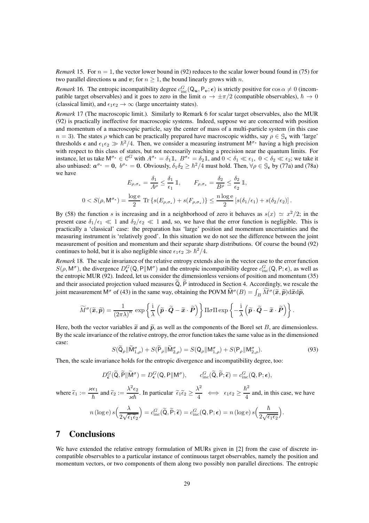*Remark* 15. For  $n = 1$ , the vector lower bound in (92) reduces to the scalar lower bound found in (75) for two parallel directions u and v; for  $n \geq 1$ , the bound linearly grows with n.

*Remark* 16. The entropic incompatibility degree  $c_{\text{inc}}^G(Q_u, P_v; \epsilon)$  is strictly positive for  $\cos \alpha \neq 0$  (incompatible target observables) and it goes to zero in the limit  $\alpha \to \pm \pi/2$  (compatible observables),  $\hbar \to 0$ (classical limit), and  $\epsilon_1 \epsilon_2 \rightarrow \infty$  (large uncertainty states).

*Remark* 17 (The macroscopic limit.)*.* Similarly to Remark 6 for scalar target observables, also the MUR (92) is practically ineffective for macroscopic systems. Indeed, suppose we are concerned with position and momentum of a macroscopic particle, say the center of mass of a multi-particle system (in this case  $n = 3$ ). The states  $\rho$  which can be practically prepared have macroscopic widths, say  $\rho \in \mathcal{G}_{\epsilon}$  with 'large' thresholds  $\epsilon$  and  $\epsilon_1 \epsilon_2 \gg \hbar^2/4$ . Then, we consider a measuring instrument M<sup> $\sigma$ \*</sup> having a high precision with respect to this class of states, but not necessarily reaching a precision near the quantum limits. For instance, let us take  $M^{\sigma_*} \in \mathbb{C}^G$  with  $A^{\sigma_*} = \delta_1 \mathbb{1}$ ,  $B^{\sigma_*} = \delta_2 \mathbb{1}$ , and  $0 < \delta_1 \ll \epsilon_1$ ,  $0 < \delta_2 \ll \epsilon_2$ ; we take it also unbiased:  $a^{\sigma_*} = 0$ ,  $b^{\sigma_*} = 0$ . Obviously,  $\delta_1 \delta_2 \ge \hbar^2/4$  must hold. Then,  $\forall \rho \in \mathcal{G}_{\epsilon}$  by (77a) and (78a) we have

$$
E_{\rho,\sigma_*} = \frac{\delta_1}{A^{\rho}} \le \frac{\delta_1}{\epsilon_1} \mathbb{1}, \qquad F_{\rho,\sigma_*} = \frac{\delta_2}{B^{\rho}} \le \frac{\delta_2}{\epsilon_2} \mathbb{1},
$$
  

$$
0 < S(\rho, \mathsf{M}^{\sigma_*}) = \frac{\log e}{2} \operatorname{Tr} \left\{ s(E_{\rho,\sigma_*}) + s(F_{\rho,\sigma_*}) \right\} \le \frac{n \log e}{2} \left[ s(\delta_1/\epsilon_1) + s(\delta_2/\epsilon_2) \right].
$$

By (58) the function s is increasing and in a neighborhood of zero it behaves as  $s(x) \simeq x^2/2$ ; in the present case  $\delta_1/\epsilon_1 \ll 1$  and  $\delta_2/\epsilon_2 \ll 1$  and, so, we have that the error function is negligible. This is practically a 'classical' case: the preparation has 'large' position and momentum uncertainties and the measuring instrument is 'relatively good'. In this situation we do not see the difference between the joint measurement of position and momentum and their separate sharp distributions. Of course the bound (92) continues to hold, but it is also negligible since  $\epsilon_1 \epsilon_2 \gg \hbar^2/4$ .

*Remark* 18. The scale invariance of the relative entropy extends also in the vector case to the error function  $S(\rho, M^{\sigma})$ , the divergence  $D_{\epsilon}^{G}(Q, P||M^{\sigma})$  and the entropic incompatibility degree  $c_{\text{inc}}^{G}(Q, P; \epsilon)$ , as well as the entropic MUR (92). Indeed, let us consider the dimensionless versions of position and momentum (35) and their associated projection valued measures  $\widetilde{Q}$ ,  $\widetilde{P}$  introduced in Section 4. Accordingly, we rescale the joint measurement M<sup> $\sigma$ </sup> of (43) in the same way, obtaining the POVM  $\widetilde{M}^{\sigma}(B) = \int_B \widetilde{M}^{\sigma}(\widetilde{x}, \widetilde{p}) d\widetilde{x} d\widetilde{p}$ ,

$$
\widetilde{M}^{\sigma}(\widetilde{\mathbf{x}},\widetilde{\boldsymbol{p}}) = \frac{1}{(2\pi\lambda)^n} \exp \left\{ \frac{\mathrm{i}}{\lambda} \left( \widetilde{\boldsymbol{p}} \cdot \widetilde{\boldsymbol{Q}} - \widetilde{\boldsymbol{x}} \cdot \widetilde{\boldsymbol{P}} \right) \right\} \Pi \sigma \Pi \exp \left\{ -\frac{\mathrm{i}}{\lambda} \left( \widetilde{\boldsymbol{p}} \cdot \widetilde{\boldsymbol{Q}} - \widetilde{\boldsymbol{x}} \cdot \widetilde{\boldsymbol{P}} \right) \right\}.
$$

Here, both the vector variables  $\tilde{x}$  and  $\tilde{p}$ , as well as the components of the Borel set B, are dimensionless. By the scale invariance of the relative entropy, the error function takes the same value as in the dimensioned case:

$$
S(\widetilde{\mathsf{Q}}_{\rho}||\widetilde{\mathsf{M}}_{1,\rho}^{\sigma})+S(\widetilde{\mathsf{P}}_{\rho}||\widetilde{\mathsf{M}}_{2,\rho}^{\sigma})=S(\mathsf{Q}_{\rho}||\mathsf{M}_{1,\rho}^{\sigma})+S(\mathsf{P}_{\rho}||\mathsf{M}_{2,\rho}^{\sigma}).
$$
\n(93)

Then, the scale invariance holds for the entropic divergence and incompatibility degree, too:

$$
D_{\tilde{\epsilon}}^G(\tilde{\mathsf{Q}}, \tilde{\mathsf{P}} \| \tilde{\mathsf{M}}^{\sigma}) = D_{\epsilon}^G(\mathsf{Q}, \mathsf{P} \| \mathsf{M}^{\sigma}), \qquad c_{\text{inc}}^G(\tilde{\mathsf{Q}}, \tilde{\mathsf{P}}; \tilde{\epsilon}) = c_{\text{inc}}^G(\mathsf{Q}, \mathsf{P}; \epsilon),
$$

where 
$$
\tilde{\epsilon}_1 := \frac{\varkappa \epsilon_1}{\hbar}
$$
 and  $\tilde{\epsilon}_2 := \frac{\lambda^2 \epsilon_2}{\varkappa \hbar}$ . In particular  $\tilde{\epsilon}_1 \tilde{\epsilon}_2 \ge \frac{\lambda^2}{4} \iff \epsilon_1 \epsilon_2 \ge \frac{\hbar^2}{4}$  and, in this case, we have  
\n
$$
n (\log e) s \Big( \frac{\lambda}{2\sqrt{\tilde{\epsilon}_1 \tilde{\epsilon}_2}} \Big) = c_{\text{inc}}^G(\tilde{\mathsf{Q}}, \tilde{\mathsf{P}}; \tilde{\boldsymbol{\epsilon}}) = c_{\text{inc}}^G(\mathsf{Q}, \mathsf{P}; \boldsymbol{\epsilon}) = n (\log e) s \Big( \frac{\hbar}{2\sqrt{\epsilon_1 \epsilon_2}} \Big).
$$

## 7 Conclusions

We have extended the relative entropy formulation of MURs given in [2] from the case of discrete incompatible observables to a particular instance of continuous target observables, namely the position and momentum vectors, or two components of them along two possibly non parallel directions. The entropic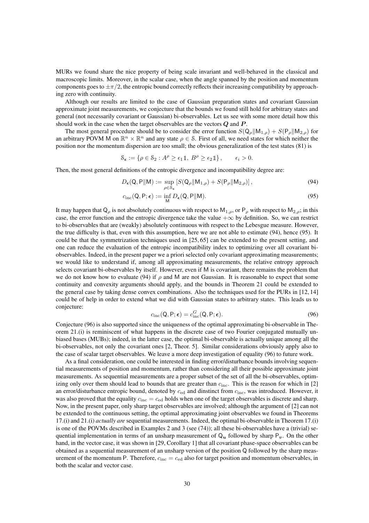MURs we found share the nice property of being scale invariant and well-behaved in the classical and macroscopic limits. Moreover, in the scalar case, when the angle spanned by the position and momentum components goes to  $\pm \pi/2$ , the entropic bound correctly reflects their increasing compatibility by approaching zero with continuity.

Although our results are limited to the case of Gaussian preparation states and covariant Gaussian approximate joint measurements, we conjecture that the bounds we found still hold for arbitrary states and general (not necessarily covariant or Gaussian) bi-observables. Let us see with some more detail how this should work in the case when the target observables are the vectors  $Q$  and  $P$ .

The most general procedure should be to consider the error function  $S(Q_\rho||M_{1,\rho}) + S(P_\rho||M_{2,\rho})$  for an arbitrary POVM M on  $\mathbb{R}^n \times \mathbb{R}^n$  and any state  $\rho \in \mathcal{S}$ . First of all, we need states for which neither the position nor the momentum dispersion are too small; the obvious generalization of the test states (81) is

$$
\mathcal{S}_{\epsilon} := \{ \rho \in \mathcal{S}_2 : A^{\rho} \ge \epsilon_1 \mathbb{1}, B^{\rho} \ge \epsilon_2 \mathbb{1} \}, \qquad \epsilon_i > 0.
$$

Then, the most general definitions of the entropic divergence and incompatibility degree are:

$$
D_{\epsilon}(\mathsf{Q}, \mathsf{P}||\mathsf{M}) := \sup_{\rho \in \mathcal{S}_{\epsilon}} \left[ S(\mathsf{Q}_{\rho}||\mathsf{M}_{1,\rho}) + S(\mathsf{P}_{\rho}||\mathsf{M}_{2,\rho}) \right],\tag{94}
$$

$$
c_{\rm inc}(Q, P; \epsilon) := \inf_{M} D_{\epsilon}(Q, P \| M). \tag{95}
$$

It may happen that  $Q_\rho$  is not absolutely continuous with respect to  $M_{1,\rho}$ , or  $P_\rho$  with respect to  $M_{2,\rho}$ ; in this case, the error function and the entropic divergence take the value  $+\infty$  by definition. So, we can restrict to bi-observables that are (weakly) absolutely continuous with respect to the Lebesgue measure. However, the true difficulty is that, even with this assumption, here we are not able to estimate (94), hence (95). It could be that the symmetrization techniques used in [25, 65] can be extended to the present setting, and one can reduce the evaluation of the entropic incompatibility index to optimizing over all covariant biobservables. Indeed, in the present paper we a priori selected only covariant approximating measurements; we would like to understand if, among all approximating measurements, the relative entropy approach selects covariant bi-observables by itself. However, even if M is covariant, there remains the problem that we do not know how to evaluate (94) if  $\rho$  and M are not Gaussian. It is reasonable to expect that some continuity and convexity arguments should apply, and the bounds in Theorem 21 could be extended to the general case by taking dense convex combinations. Also the techniques used for the PURs in [12, 14] could be of help in order to extend what we did with Gaussian states to arbitrary states. This leads us to conjecture:

$$
c_{\rm inc}(\mathsf{Q}, \mathsf{P}; \boldsymbol{\epsilon}) = c_{\rm inc}^G(\mathsf{Q}, \mathsf{P}; \boldsymbol{\epsilon}).
$$
\n(96)

Conjecture (96) is also supported since the uniqueness of the optimal approximating bi-observable in Theorem 21.(i) is reminiscent of what happens in the discrete case of two Fourier conjugated mutually unbiased bases (MUBs); indeed, in the latter case, the optimal bi-observable is actually unique among all the bi-observables, not only the covariant ones [2, Theor. 5]. Similar considerations obviously apply also to the case of scalar target observables. We leave a more deep investigation of equality (96) to future work.

As a final consideration, one could be interested in finding error/disturbance bounds involving sequential measurements of position and momentum, rather than considering all their possible approximate joint measurements. As sequential measurements are a proper subset of the set of all the bi-observables, optimizing only over them should lead to bounds that are greater than  $c_{\text{inc}}$ . This is the reason for which in [2] an error/disturbance entropic bound, denoted by  $c_{\text{ed}}$  and dinstinct from  $c_{\text{inc}}$ , was introduced. However, it was also proved that the equality  $c_{\text{inc}} = c_{\text{ed}}$  holds when one of the target observables is discrete and sharp. Now, in the present paper, only sharp target observables are involved; although the argument of [2] can not be extended to the continuous setting, the optimal approximating joint observables we found in Theorems 17.(i) and 21.(i) *actually are* sequential measurements. Indeed, the optimal bi-observable in Theorem 17.(i) is one of the POVMs described in Examples 2 and 3 (see (74)); all these bi-observables have a (trivial) sequential implementation in terms of an unsharp measurement of  $Q_u$  followed by sharp  $P_v$ . On the other hand, in the vector case, it was shown in [29, Corollary 1] that all covariant phase-space observables can be obtained as a sequential measurement of an unsharp version of the position Q followed by the sharp measurement of the momentum P. Therefore,  $c_{\text{inc}} = c_{\text{ed}}$  also for target position and momentum observables, in both the scalar and vector case.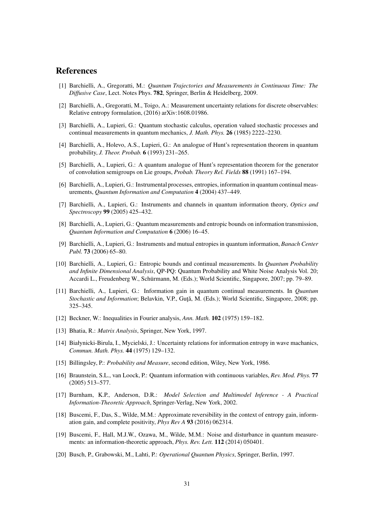## References

- [1] Barchielli, A., Gregoratti, M.: *Quantum Trajectories and Measurements in Continuous Time: The Diffusive Case*, Lect. Notes Phys. 782, Springer, Berlin & Heidelberg, 2009.
- [2] Barchielli, A., Gregoratti, M., Toigo, A.: Measurement uncertainty relations for discrete observables: Relative entropy formulation, (2016) arXiv:1608.01986.
- [3] Barchielli, A., Lupieri, G.: Quantum stochastic calculus, operation valued stochastic processes and continual measurements in quantum mechanics, *J. Math. Phys.* 26 (1985) 2222–2230.
- [4] Barchielli, A., Holevo, A.S., Lupieri, G.: An analogue of Hunt's representation theorem in quantum probability, *J. Theor. Probab.* 6 (1993) 231–265.
- [5] Barchielli, A., Lupieri, G.: A quantum analogue of Hunt's representation theorem for the generator of convolution semigroups on Lie groups, *Probab. Theory Rel. Fields* 88 (1991) 167–194.
- [6] Barchielli, A., Lupieri, G.: Instrumental processes, entropies, information in quantum continual measurements, *Quantum Information and Computation* 4 (2004) 437–449.
- [7] Barchielli, A., Lupieri, G.: Instruments and channels in quantum information theory, *Optics and Spectroscopy* 99 (2005) 425–432.
- [8] Barchielli, A., Lupieri, G.: Quantum measurements and entropic bounds on information transmission, *Quantum Information and Computation* 6 (2006) 16–45.
- [9] Barchielli, A., Lupieri, G.: Instruments and mutual entropies in quantum information, *Banach Center Publ.* 73 (2006) 65–80.
- [10] Barchielli, A., Lupieri, G.: Entropic bounds and continual measurements. In *Quantum Probability and Infinite Dimensional Analysis*, QP-PQ: Quantum Probability and White Noise Analysis Vol. 20; Accardi L., Freudenberg W., Schürmann, M. (Eds.); World Scientific, Singapore, 2007; pp. 79–89.
- [11] Barchielli, A., Lupieri, G.: Information gain in quantum continual measurements. In *Quantum Stochastic and Information*; Belavkin, V.P., Guță, M. (Eds.); World Scientific, Singapore, 2008; pp. 325–345.
- [12] Beckner, W.: Inequalities in Fourier analysis, *Ann. Math.* 102 (1975) 159–182.
- [13] Bhatia, R.: *Matrix Analysis*, Springer, New York, 1997.
- [14] Białynicki-Birula, I., Mycielski, J.: Uncertainty relations for information entropy in wave machanics, *Commun. Math. Phys.* 44 (1975) 129–132.
- [15] Billingsley, P.: *Probability and Measure*, second edition, Wiley, New York, 1986.
- [16] Braunstein, S.L., van Loock, P.: Quantum information with continuous variables, *Rev. Mod. Phys.* 77 (2005) 513–577.
- [17] Burnham, K.P., Anderson, D.R.: *Model Selection and Multimodel Inference A Practical Information-Theoretic Approach*, Springer-Verlag, New York, 2002.
- [18] Buscemi, F., Das, S., Wilde, M.M.: Approximate reversibility in the context of entropy gain, information gain, and complete positivity, *Phys Rev A* 93 (2016) 062314.
- [19] Buscemi, F., Hall, M.J.W., Ozawa, M., Wilde, M.M.: Noise and disturbance in quantum measurements: an information-theoretic approach, *Phys. Rev. Lett.* 112 (2014) 050401.
- [20] Busch, P., Grabowski, M., Lahti, P.: *Operational Quantum Physics*, Springer, Berlin, 1997.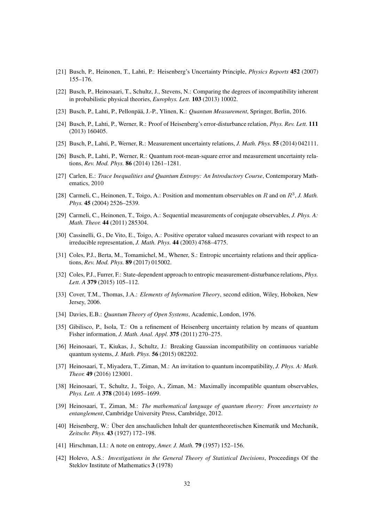- [21] Busch, P., Heinonen, T., Lahti, P.: Heisenberg's Uncertainty Principle, *Physics Reports* 452 (2007) 155–176.
- [22] Busch, P., Heinosaari, T., Schultz, J., Stevens, N.: Comparing the degrees of incompatibility inherent in probabilistic physical theories, *Europhys. Lett.* 103 (2013) 10002.
- [23] Busch, P., Lahti, P., Pellonpää, J.-P., Ylinen, K.: *Quantum Measurement*, Springer, Berlin, 2016.
- [24] Busch, P., Lahti, P., Werner, R.: Proof of Heisenberg's error-disturbance relation, *Phys. Rev. Lett.* 111 (2013) 160405.
- [25] Busch, P., Lahti, P., Werner, R.: Measurement uncertainty relations, *J. Math. Phys.* 55 (2014) 042111.
- [26] Busch, P., Lahti, P., Werner, R.: Quantum root-mean-square error and measurement uncertainty relations, *Rev. Mod. Phys.* 86 (2014) 1261–1281.
- [27] Carlen, E.: *Trace Inequalities and Quantum Entropy: An Introductory Course*, Contemporary Mathematics, 2010
- [28] Carmeli, C., Heinonen, T., Toigo, A.: Position and momentum observables on R and on  $R^3$ , J. Math. *Phys.* 45 (2004) 2526–2539.
- [29] Carmeli, C., Heinonen, T., Toigo, A.: Sequential measurements of conjugate observables, *J. Phys. A: Math. Theor.* 44 (2011) 285304.
- [30] Cassinelli, G., De Vito, E., Toigo, A.: Positive operator valued measures covariant with respect to an irreducible representation, *J. Math. Phys.* 44 (2003) 4768–4775.
- [31] Coles, P.J., Berta, M., Tomamichel, M., Whener, S.: Entropic uncertainty relations and their applications, *Rev. Mod. Phys.* 89 (2017) 015002.
- [32] Coles, P.J., Furrer, F.: State-dependent approach to entropic measurement-disturbance relations, *Phys. Lett. A* 379 (2015) 105–112.
- [33] Cover, T.M., Thomas, J.A.: *Elements of Information Theory*, second edition, Wiley, Hoboken, New Jersey, 2006.
- [34] Davies, E.B.: *Quantum Theory of Open Systems*, Academic, London, 1976.
- [35] Gibilisco, P., Isola, T.: On a refinement of Heisenberg uncertainty relation by means of quantum Fisher information, *J. Math. Anal. Appl.* 375 (2011) 270–275.
- [36] Heinosaari, T., Kiukas, J., Schultz, J.: Breaking Gaussian incompatibility on continuous variable quantum systems, *J. Math. Phys.* 56 (2015) 082202.
- [37] Heinosaari, T., Miyadera, T., Ziman, M.: An invitation to quantum incompatibility, *J. Phys. A: Math. Theor.* 49 (2016) 123001.
- [38] Heinosaari, T., Schultz, J., Toigo, A., Ziman, M.: Maximally incompatible quantum observables, *Phys. Lett. A* 378 (2014) 1695–1699.
- [39] Heinosaari, T., Ziman, M.: *The mathematical language of quantum theory: From uncertainty to entanglement*, Cambridge University Press, Cambridge, 2012.
- [40] Heisenberg, W.: Über den anschaulichen Inhalt der quantentheoretischen Kinematik und Mechanik, *Zeitschr. Phys.* 43 (1927) 172–198.
- [41] Hirschman, I.I.: A note on entropy, *Amer. J. Math.* 79 (1957) 152–156.
- [42] Holevo, A.S.: *Investigations in the General Theory of Statistical Decisions*, Proceedings Of the Steklov Institute of Mathematics 3 (1978)